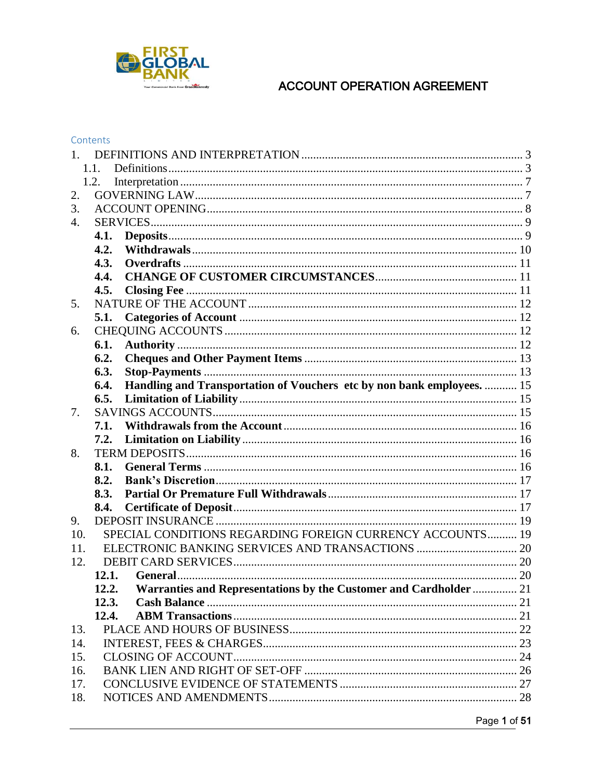

|     | 1.1.  |                                                                        |  |  |  |
|-----|-------|------------------------------------------------------------------------|--|--|--|
|     | 1.2.  |                                                                        |  |  |  |
| 2.  |       |                                                                        |  |  |  |
| 3.  |       |                                                                        |  |  |  |
| 4.  |       |                                                                        |  |  |  |
|     | 4.1.  |                                                                        |  |  |  |
|     | 4.2.  |                                                                        |  |  |  |
|     | 4.3.  |                                                                        |  |  |  |
|     | 4.4.  |                                                                        |  |  |  |
|     | 4.5.  |                                                                        |  |  |  |
| 5.  |       |                                                                        |  |  |  |
|     | 5.1.  |                                                                        |  |  |  |
| 6.  |       |                                                                        |  |  |  |
|     | 6.1.  |                                                                        |  |  |  |
|     | 6.2.  |                                                                        |  |  |  |
|     | 6.3.  |                                                                        |  |  |  |
|     | 6.4.  | Handling and Transportation of Vouchers etc by non bank employees.  15 |  |  |  |
|     | 6.5.  |                                                                        |  |  |  |
| 7.  |       |                                                                        |  |  |  |
|     | 7.1.  |                                                                        |  |  |  |
|     | 7.2.  |                                                                        |  |  |  |
| 8.  |       |                                                                        |  |  |  |
|     | 8.1.  |                                                                        |  |  |  |
|     | 8.2.  |                                                                        |  |  |  |
|     | 8.3.  |                                                                        |  |  |  |
|     | 8.4.  |                                                                        |  |  |  |
| 9.  |       |                                                                        |  |  |  |
| 10. |       | SPECIAL CONDITIONS REGARDING FOREIGN CURRENCY ACCOUNTS 19              |  |  |  |
| 11. |       |                                                                        |  |  |  |
| 12. |       |                                                                        |  |  |  |
|     | 12.1. |                                                                        |  |  |  |
|     | 12.2. | Warranties and Representations by the Customer and Cardholder  21      |  |  |  |
|     | 12.3. |                                                                        |  |  |  |
|     | 12.4. |                                                                        |  |  |  |
| 13. |       |                                                                        |  |  |  |
| 14. |       |                                                                        |  |  |  |
| 15. |       |                                                                        |  |  |  |
| 16. |       |                                                                        |  |  |  |
| 17. |       |                                                                        |  |  |  |
| 18. |       |                                                                        |  |  |  |
|     |       |                                                                        |  |  |  |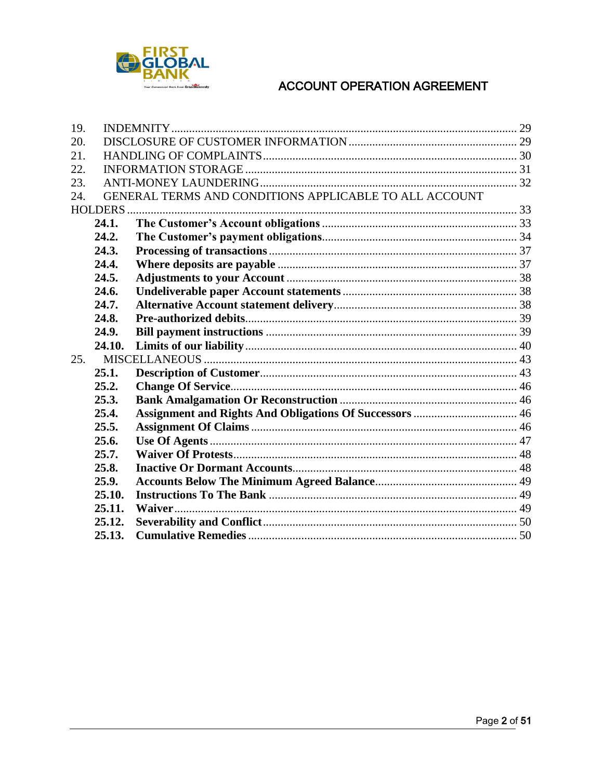

| 19. |                |                                                        |  |  |
|-----|----------------|--------------------------------------------------------|--|--|
| 20. |                |                                                        |  |  |
| 21. |                |                                                        |  |  |
| 22. |                |                                                        |  |  |
| 23. |                |                                                        |  |  |
| 24. |                | GENERAL TERMS AND CONDITIONS APPLICABLE TO ALL ACCOUNT |  |  |
|     | <b>HOLDERS</b> |                                                        |  |  |
|     | 24.1.          |                                                        |  |  |
|     | 24.2.          |                                                        |  |  |
|     | 24.3.          |                                                        |  |  |
|     | 24.4.          |                                                        |  |  |
|     | 24.5.          |                                                        |  |  |
|     | 24.6.          |                                                        |  |  |
|     | 24.7.          |                                                        |  |  |
|     | 24.8.          |                                                        |  |  |
|     | 24.9.          |                                                        |  |  |
|     | 24.10.         |                                                        |  |  |
| 25. |                |                                                        |  |  |
|     | 25.1.          |                                                        |  |  |
|     | 25.2.          |                                                        |  |  |
|     | 25.3.          |                                                        |  |  |
|     | 25.4.          |                                                        |  |  |
|     | 25.5.          |                                                        |  |  |
|     | 25.6.          |                                                        |  |  |
|     | 25.7.          |                                                        |  |  |
|     | 25.8.          |                                                        |  |  |
|     | 25.9.          |                                                        |  |  |
|     | 25.10.         |                                                        |  |  |
|     | 25.11.         |                                                        |  |  |
|     | 25.12.         |                                                        |  |  |
|     | 25.13.         |                                                        |  |  |
|     |                |                                                        |  |  |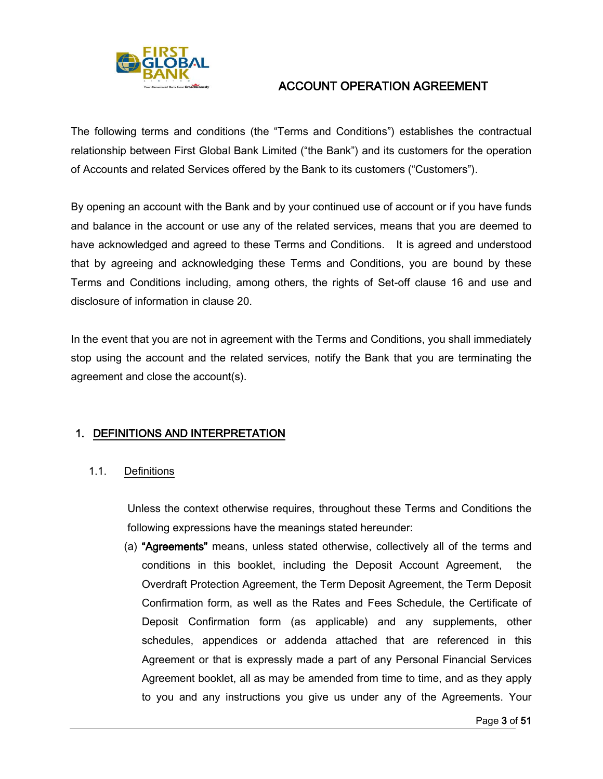

The following terms and conditions (the "Terms and Conditions") establishes the contractual relationship between First Global Bank Limited ("the Bank") and its customers for the operation of Accounts and related Services offered by the Bank to its customers ("Customers").

By opening an account with the Bank and by your continued use of account or if you have funds and balance in the account or use any of the related services, means that you are deemed to have acknowledged and agreed to these Terms and Conditions. It is agreed and understood that by agreeing and acknowledging these Terms and Conditions, you are bound by these Terms and Conditions including, among others, the rights of Set-off clause 16 and use and disclosure of information in clause 20.

In the event that you are not in agreement with the Terms and Conditions, you shall immediately stop using the account and the related services, notify the Bank that you are terminating the agreement and close the account(s).

## <span id="page-2-0"></span>1. DEFINITIONS AND INTERPRETATION

<span id="page-2-1"></span>1.1. Definitions

Unless the context otherwise requires, throughout these Terms and Conditions the following expressions have the meanings stated hereunder:

(a) "Agreements" means, unless stated otherwise, collectively all of the terms and conditions in this booklet, including the Deposit Account Agreement, the Overdraft Protection Agreement, the Term Deposit Agreement, the Term Deposit Confirmation form, as well as the Rates and Fees Schedule, the Certificate of Deposit Confirmation form (as applicable) and any supplements, other schedules, appendices or addenda attached that are referenced in this Agreement or that is expressly made a part of any Personal Financial Services Agreement booklet, all as may be amended from time to time, and as they apply to you and any instructions you give us under any of the Agreements. Your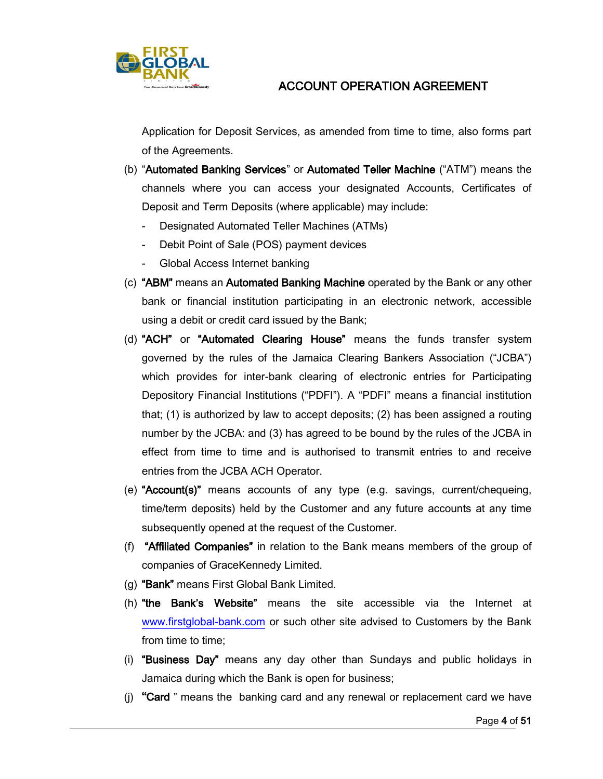

Application for Deposit Services, as amended from time to time, also forms part of the Agreements.

- (b) "Automated Banking Services" or Automated Teller Machine ("ATM") means the channels where you can access your designated Accounts, Certificates of Deposit and Term Deposits (where applicable) may include:
	- Designated Automated Teller Machines (ATMs)
	- Debit Point of Sale (POS) payment devices
	- Global Access Internet banking
- (c) "ABM" means an Automated Banking Machine operated by the Bank or any other bank or financial institution participating in an electronic network, accessible using a debit or credit card issued by the Bank;
- (d) "ACH" or "Automated Clearing House" means the funds transfer system governed by the rules of the Jamaica Clearing Bankers Association ("JCBA") which provides for inter-bank clearing of electronic entries for Participating Depository Financial Institutions ("PDFI"). A "PDFI" means a financial institution that; (1) is authorized by law to accept deposits; (2) has been assigned a routing number by the JCBA: and (3) has agreed to be bound by the rules of the JCBA in effect from time to time and is authorised to transmit entries to and receive entries from the JCBA ACH Operator.
- (e) "Account(s)" means accounts of any type (e.g. savings, current/chequeing, time/term deposits) held by the Customer and any future accounts at any time subsequently opened at the request of the Customer.
- (f) "Affiliated Companies" in relation to the Bank means members of the group of companies of GraceKennedy Limited.
- (g) "Bank" means First Global Bank Limited.
- (h) "the Bank's Website" means the site accessible via the Internet at [www.firstglobal-bank.com](http://www.firstglobal-bank.com/) or such other site advised to Customers by the Bank from time to time;
- (i) "Business Day" means any day other than Sundays and public holidays in Jamaica during which the Bank is open for business;
- (j) "Card " means the banking card and any renewal or replacement card we have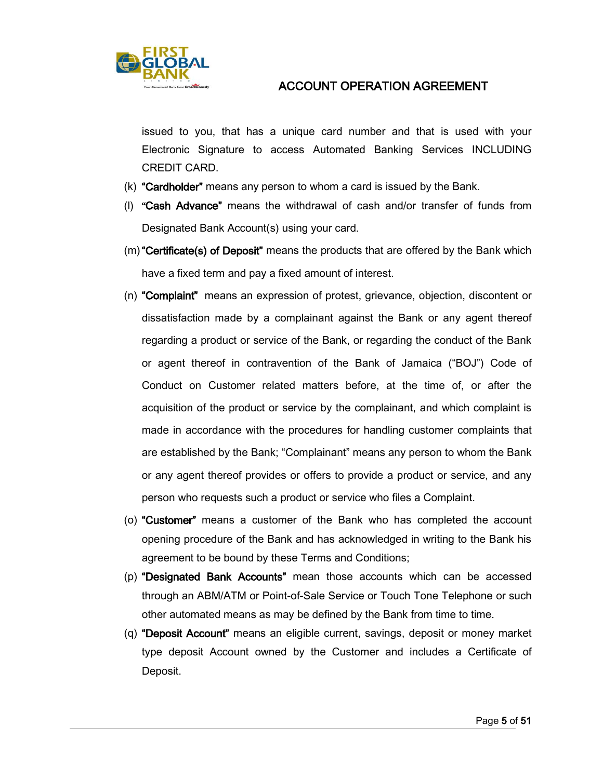

issued to you, that has a unique card number and that is used with your Electronic Signature to access Automated Banking Services INCLUDING CREDIT CARD.

- (k) "Cardholder" means any person to whom a card is issued by the Bank.
- (l) "Cash Advance" means the withdrawal of cash and/or transfer of funds from Designated Bank Account(s) using your card.
- (m)"Certificate(s) of Deposit" means the products that are offered by the Bank which have a fixed term and pay a fixed amount of interest.
- (n) "Complaint" means an expression of protest, grievance, objection, discontent or dissatisfaction made by a complainant against the Bank or any agent thereof regarding a product or service of the Bank, or regarding the conduct of the Bank or agent thereof in contravention of the Bank of Jamaica ("BOJ") Code of Conduct on Customer related matters before, at the time of, or after the acquisition of the product or service by the complainant, and which complaint is made in accordance with the procedures for handling customer complaints that are established by the Bank; "Complainant" means any person to whom the Bank or any agent thereof provides or offers to provide a product or service, and any person who requests such a product or service who files a Complaint.
- (o) "Customer" means a customer of the Bank who has completed the account opening procedure of the Bank and has acknowledged in writing to the Bank his agreement to be bound by these Terms and Conditions;
- (p) "Designated Bank Accounts" mean those accounts which can be accessed through an ABM/ATM or Point-of-Sale Service or Touch Tone Telephone or such other automated means as may be defined by the Bank from time to time.
- (q) "Deposit Account" means an eligible current, savings, deposit or money market type deposit Account owned by the Customer and includes a Certificate of Deposit.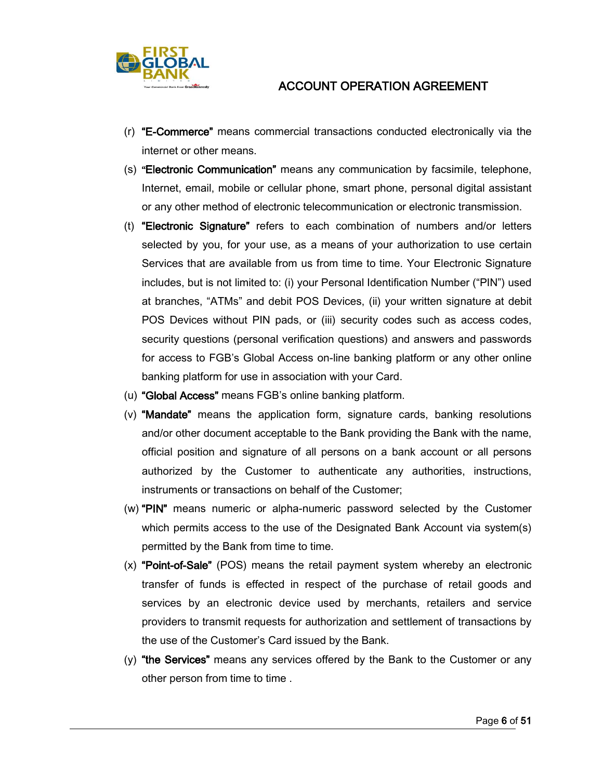

- (r) "E-Commerce" means commercial transactions conducted electronically via the internet or other means.
- (s) "Electronic Communication" means any communication by facsimile, telephone, Internet, email, mobile or cellular phone, smart phone, personal digital assistant or any other method of electronic telecommunication or electronic transmission.
- (t) "Electronic Signature" refers to each combination of numbers and/or letters selected by you, for your use, as a means of your authorization to use certain Services that are available from us from time to time. Your Electronic Signature includes, but is not limited to: (i) your Personal Identification Number ("PIN") used at branches, "ATMs" and debit POS Devices, (ii) your written signature at debit POS Devices without PIN pads, or (iii) security codes such as access codes, security questions (personal verification questions) and answers and passwords for access to FGB's Global Access on-line banking platform or any other online banking platform for use in association with your Card.
- (u) "Global Access" means FGB's online banking platform.
- (v) **"Mandate"** means the application form, signature cards, banking resolutions and/or other document acceptable to the Bank providing the Bank with the name, official position and signature of all persons on a bank account or all persons authorized by the Customer to authenticate any authorities, instructions, instruments or transactions on behalf of the Customer;
- (w) "PIN" means numeric or alpha-numeric password selected by the Customer which permits access to the use of the Designated Bank Account via system(s) permitted by the Bank from time to time.
- (x) "Point-of-Sale" (POS) means the retail payment system whereby an electronic transfer of funds is effected in respect of the purchase of retail goods and services by an electronic device used by merchants, retailers and service providers to transmit requests for authorization and settlement of transactions by the use of the Customer's Card issued by the Bank.
- $(y)$  "the Services" means any services offered by the Bank to the Customer or any other person from time to time .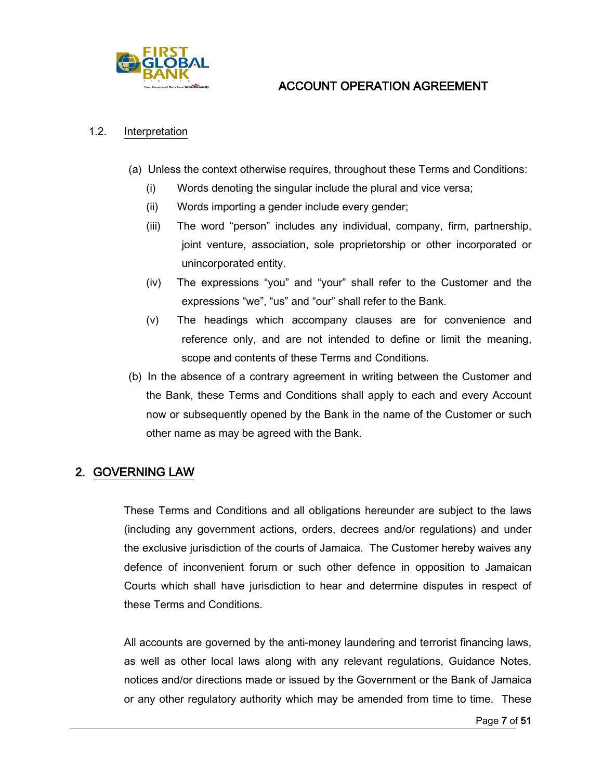

#### <span id="page-6-0"></span>1.2. Interpretation

- (a) Unless the context otherwise requires, throughout these Terms and Conditions:
	- (i) Words denoting the singular include the plural and vice versa;
	- (ii) Words importing a gender include every gender;
	- (iii) The word "person" includes any individual, company, firm, partnership, joint venture, association, sole proprietorship or other incorporated or unincorporated entity.
	- (iv) The expressions "you" and "your" shall refer to the Customer and the expressions "we", "us" and "our" shall refer to the Bank.
	- (v) The headings which accompany clauses are for convenience and reference only, and are not intended to define or limit the meaning, scope and contents of these Terms and Conditions.
- (b) In the absence of a contrary agreement in writing between the Customer and the Bank, these Terms and Conditions shall apply to each and every Account now or subsequently opened by the Bank in the name of the Customer or such other name as may be agreed with the Bank.

# <span id="page-6-1"></span>2. GOVERNING LAW

These Terms and Conditions and all obligations hereunder are subject to the laws (including any government actions, orders, decrees and/or regulations) and under the exclusive jurisdiction of the courts of Jamaica. The Customer hereby waives any defence of inconvenient forum or such other defence in opposition to Jamaican Courts which shall have jurisdiction to hear and determine disputes in respect of these Terms and Conditions.

All accounts are governed by the anti-money laundering and terrorist financing laws, as well as other local laws along with any relevant regulations, Guidance Notes, notices and/or directions made or issued by the Government or the Bank of Jamaica or any other regulatory authority which may be amended from time to time. These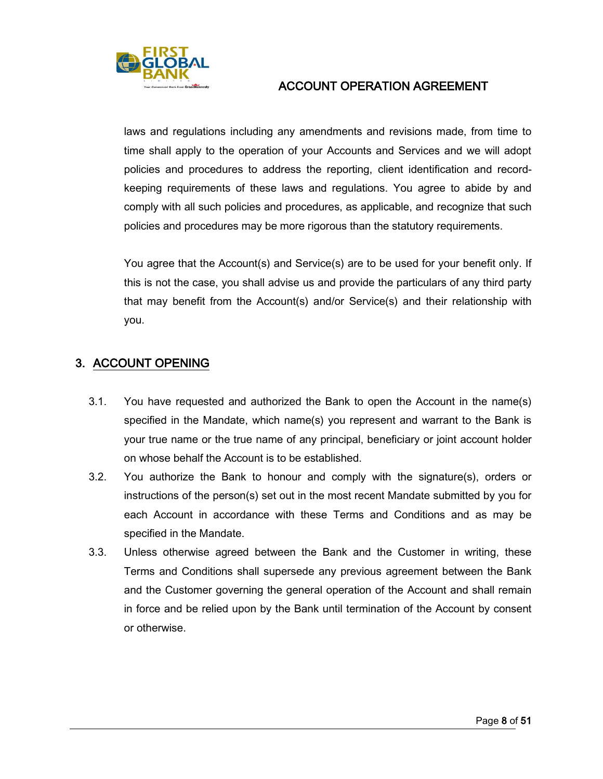

laws and regulations including any amendments and revisions made, from time to time shall apply to the operation of your Accounts and Services and we will adopt policies and procedures to address the reporting, client identification and recordkeeping requirements of these laws and regulations. You agree to abide by and comply with all such policies and procedures, as applicable, and recognize that such policies and procedures may be more rigorous than the statutory requirements.

You agree that the Account(s) and Service(s) are to be used for your benefit only. If this is not the case, you shall advise us and provide the particulars of any third party that may benefit from the Account(s) and/or Service(s) and their relationship with you.

# <span id="page-7-0"></span>3. ACCOUNT OPENING

- 3.1. You have requested and authorized the Bank to open the Account in the name(s) specified in the Mandate, which name(s) you represent and warrant to the Bank is your true name or the true name of any principal, beneficiary or joint account holder on whose behalf the Account is to be established.
- 3.2. You authorize the Bank to honour and comply with the signature(s), orders or instructions of the person(s) set out in the most recent Mandate submitted by you for each Account in accordance with these Terms and Conditions and as may be specified in the Mandate.
- 3.3. Unless otherwise agreed between the Bank and the Customer in writing, these Terms and Conditions shall supersede any previous agreement between the Bank and the Customer governing the general operation of the Account and shall remain in force and be relied upon by the Bank until termination of the Account by consent or otherwise.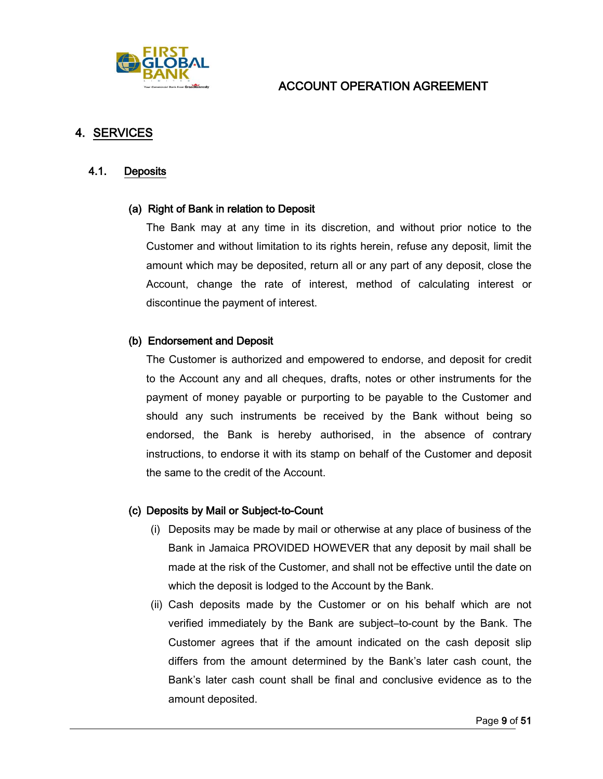

## <span id="page-8-0"></span>4. SERVICES

#### <span id="page-8-1"></span>4.1. Deposits

#### (a) Right of Bank in relation to Deposit

The Bank may at any time in its discretion, and without prior notice to the Customer and without limitation to its rights herein, refuse any deposit, limit the amount which may be deposited, return all or any part of any deposit, close the Account, change the rate of interest, method of calculating interest or discontinue the payment of interest.

#### (b) Endorsement and Deposit

The Customer is authorized and empowered to endorse, and deposit for credit to the Account any and all cheques, drafts, notes or other instruments for the payment of money payable or purporting to be payable to the Customer and should any such instruments be received by the Bank without being so endorsed, the Bank is hereby authorised, in the absence of contrary instructions, to endorse it with its stamp on behalf of the Customer and deposit the same to the credit of the Account.

#### (c) Deposits by Mail or Subject-to-Count

- (i) Deposits may be made by mail or otherwise at any place of business of the Bank in Jamaica PROVIDED HOWEVER that any deposit by mail shall be made at the risk of the Customer, and shall not be effective until the date on which the deposit is lodged to the Account by the Bank.
- (ii) Cash deposits made by the Customer or on his behalf which are not verified immediately by the Bank are subject–to-count by the Bank. The Customer agrees that if the amount indicated on the cash deposit slip differs from the amount determined by the Bank's later cash count, the Bank's later cash count shall be final and conclusive evidence as to the amount deposited.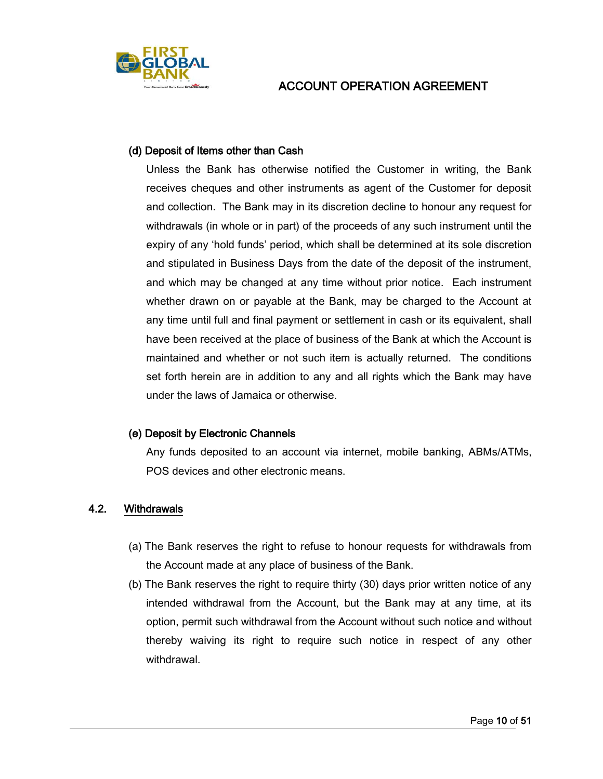

#### (d) Deposit of Items other than Cash

Unless the Bank has otherwise notified the Customer in writing, the Bank receives cheques and other instruments as agent of the Customer for deposit and collection. The Bank may in its discretion decline to honour any request for withdrawals (in whole or in part) of the proceeds of any such instrument until the expiry of any 'hold funds' period, which shall be determined at its sole discretion and stipulated in Business Days from the date of the deposit of the instrument, and which may be changed at any time without prior notice. Each instrument whether drawn on or payable at the Bank, may be charged to the Account at any time until full and final payment or settlement in cash or its equivalent, shall have been received at the place of business of the Bank at which the Account is maintained and whether or not such item is actually returned. The conditions set forth herein are in addition to any and all rights which the Bank may have under the laws of Jamaica or otherwise.

### (e) Deposit by Electronic Channels

Any funds deposited to an account via internet, mobile banking, ABMs/ATMs, POS devices and other electronic means.

### <span id="page-9-0"></span>4.2. Withdrawals

- (a) The Bank reserves the right to refuse to honour requests for withdrawals from the Account made at any place of business of the Bank.
- (b) The Bank reserves the right to require thirty (30) days prior written notice of any intended withdrawal from the Account, but the Bank may at any time, at its option, permit such withdrawal from the Account without such notice and without thereby waiving its right to require such notice in respect of any other withdrawal.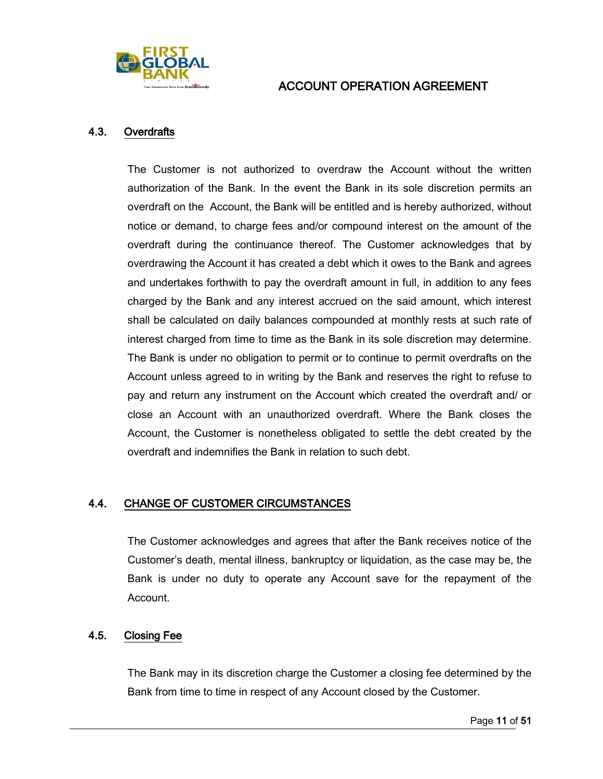

#### <span id="page-10-0"></span>4.3. Overdrafts

The Customer is not authorized to overdraw the Account without the written authorization of the Bank. In the event the Bank in its sole discretion permits an overdraft on the Account, the Bank will be entitled and is hereby authorized, without notice or demand, to charge fees and/or compound interest on the amount of the overdraft during the continuance thereof. The Customer acknowledges that by overdrawing the Account it has created a debt which it owes to the Bank and agrees and undertakes forthwith to pay the overdraft amount in full, in addition to any fees charged by the Bank and any interest accrued on the said amount, which interest shall be calculated on daily balances compounded at monthly rests at such rate of interest charged from time to time as the Bank in its sole discretion may determine. The Bank is under no obligation to permit or to continue to permit overdrafts on the Account unless agreed to in writing by the Bank and reserves the right to refuse to pay and return any instrument on the Account which created the overdraft and/ or close an Account with an unauthorized overdraft. Where the Bank closes the Account, the Customer is nonetheless obligated to settle the debt created by the overdraft and indemnifies the Bank in relation to such debt.

### <span id="page-10-1"></span>4.4. CHANGE OF CUSTOMER CIRCUMSTANCES

The Customer acknowledges and agrees that after the Bank receives notice of the Customer's death, mental illness, bankruptcy or liquidation, as the case may be, the Bank is under no duty to operate any Account save for the repayment of the Account.

### <span id="page-10-2"></span>4.5. Closing Fee

The Bank may in its discretion charge the Customer a closing fee determined by the Bank from time to time in respect of any Account closed by the Customer.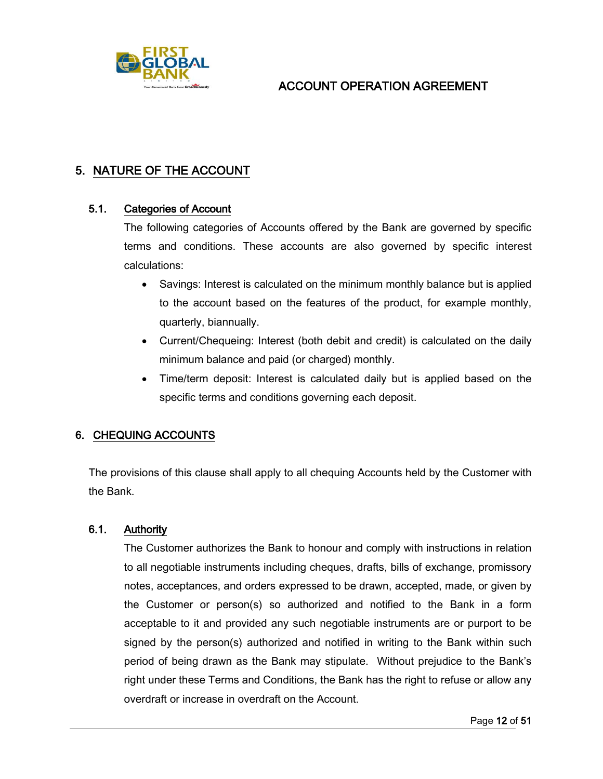

# <span id="page-11-0"></span>5. NATURE OF THE ACCOUNT

### <span id="page-11-1"></span>5.1. Categories of Account

The following categories of Accounts offered by the Bank are governed by specific terms and conditions. These accounts are also governed by specific interest calculations:

- Savings: Interest is calculated on the minimum monthly balance but is applied to the account based on the features of the product, for example monthly, quarterly, biannually.
- Current/Chequeing: Interest (both debit and credit) is calculated on the daily minimum balance and paid (or charged) monthly.
- Time/term deposit: Interest is calculated daily but is applied based on the specific terms and conditions governing each deposit.

### <span id="page-11-2"></span>6. CHEQUING ACCOUNTS

The provisions of this clause shall apply to all chequing Accounts held by the Customer with the Bank.

### <span id="page-11-3"></span>6.1. Authority

The Customer authorizes the Bank to honour and comply with instructions in relation to all negotiable instruments including cheques, drafts, bills of exchange, promissory notes, acceptances, and orders expressed to be drawn, accepted, made, or given by the Customer or person(s) so authorized and notified to the Bank in a form acceptable to it and provided any such negotiable instruments are or purport to be signed by the person(s) authorized and notified in writing to the Bank within such period of being drawn as the Bank may stipulate. Without prejudice to the Bank's right under these Terms and Conditions, the Bank has the right to refuse or allow any overdraft or increase in overdraft on the Account.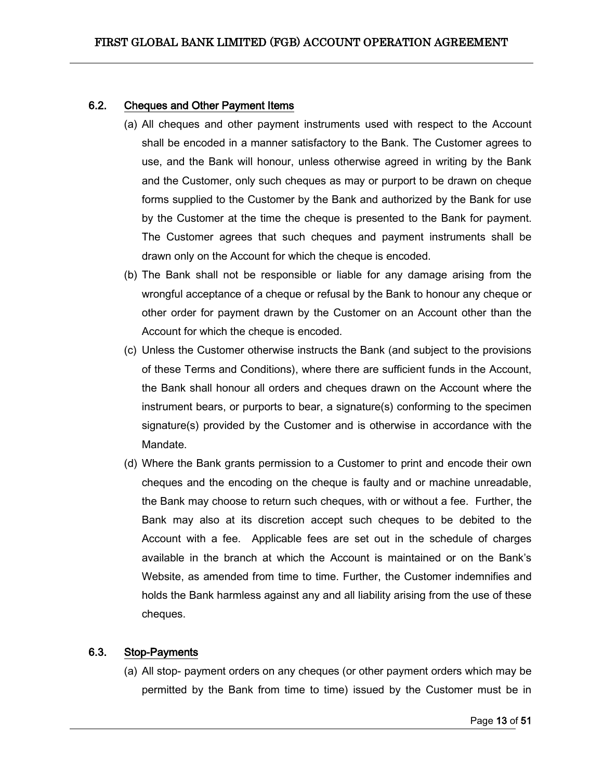### <span id="page-12-0"></span>6.2. Cheques and Other Payment Items

- (a) All cheques and other payment instruments used with respect to the Account shall be encoded in a manner satisfactory to the Bank. The Customer agrees to use, and the Bank will honour, unless otherwise agreed in writing by the Bank and the Customer, only such cheques as may or purport to be drawn on cheque forms supplied to the Customer by the Bank and authorized by the Bank for use by the Customer at the time the cheque is presented to the Bank for payment. The Customer agrees that such cheques and payment instruments shall be drawn only on the Account for which the cheque is encoded.
- (b) The Bank shall not be responsible or liable for any damage arising from the wrongful acceptance of a cheque or refusal by the Bank to honour any cheque or other order for payment drawn by the Customer on an Account other than the Account for which the cheque is encoded.
- (c) Unless the Customer otherwise instructs the Bank (and subject to the provisions of these Terms and Conditions), where there are sufficient funds in the Account, the Bank shall honour all orders and cheques drawn on the Account where the instrument bears, or purports to bear, a signature(s) conforming to the specimen signature(s) provided by the Customer and is otherwise in accordance with the Mandate.
- (d) Where the Bank grants permission to a Customer to print and encode their own cheques and the encoding on the cheque is faulty and or machine unreadable, the Bank may choose to return such cheques, with or without a fee. Further, the Bank may also at its discretion accept such cheques to be debited to the Account with a fee. Applicable fees are set out in the schedule of charges available in the branch at which the Account is maintained or on the Bank's Website, as amended from time to time. Further, the Customer indemnifies and holds the Bank harmless against any and all liability arising from the use of these cheques.

### <span id="page-12-1"></span>6.3. Stop-Payments

(a) All stop- payment orders on any cheques (or other payment orders which may be permitted by the Bank from time to time) issued by the Customer must be in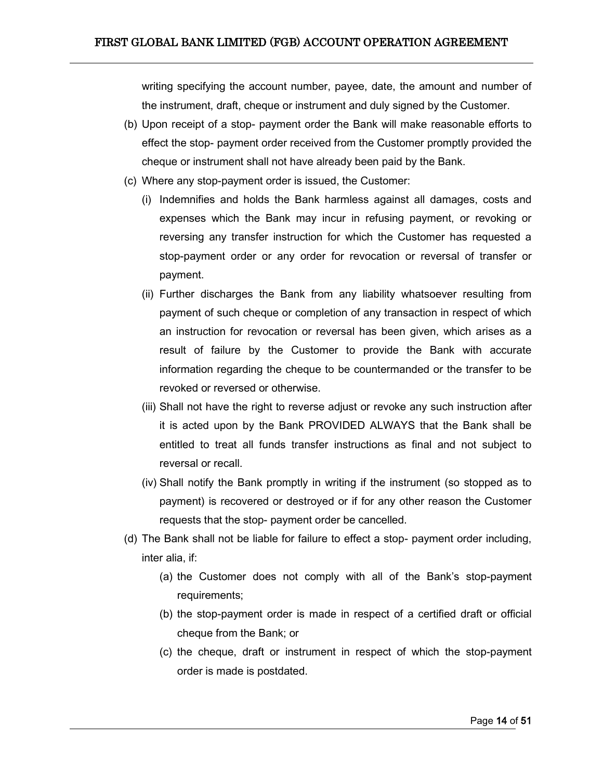writing specifying the account number, payee, date, the amount and number of the instrument, draft, cheque or instrument and duly signed by the Customer.

- (b) Upon receipt of a stop- payment order the Bank will make reasonable efforts to effect the stop- payment order received from the Customer promptly provided the cheque or instrument shall not have already been paid by the Bank.
- (c) Where any stop-payment order is issued, the Customer:
	- (i) Indemnifies and holds the Bank harmless against all damages, costs and expenses which the Bank may incur in refusing payment, or revoking or reversing any transfer instruction for which the Customer has requested a stop-payment order or any order for revocation or reversal of transfer or payment.
	- (ii) Further discharges the Bank from any liability whatsoever resulting from payment of such cheque or completion of any transaction in respect of which an instruction for revocation or reversal has been given, which arises as a result of failure by the Customer to provide the Bank with accurate information regarding the cheque to be countermanded or the transfer to be revoked or reversed or otherwise.
	- (iii) Shall not have the right to reverse adjust or revoke any such instruction after it is acted upon by the Bank PROVIDED ALWAYS that the Bank shall be entitled to treat all funds transfer instructions as final and not subject to reversal or recall.
	- (iv) Shall notify the Bank promptly in writing if the instrument (so stopped as to payment) is recovered or destroyed or if for any other reason the Customer requests that the stop- payment order be cancelled.
- (d) The Bank shall not be liable for failure to effect a stop- payment order including, inter alia, if:
	- (a) the Customer does not comply with all of the Bank's stop-payment requirements;
	- (b) the stop-payment order is made in respect of a certified draft or official cheque from the Bank; or
	- (c) the cheque, draft or instrument in respect of which the stop-payment order is made is postdated.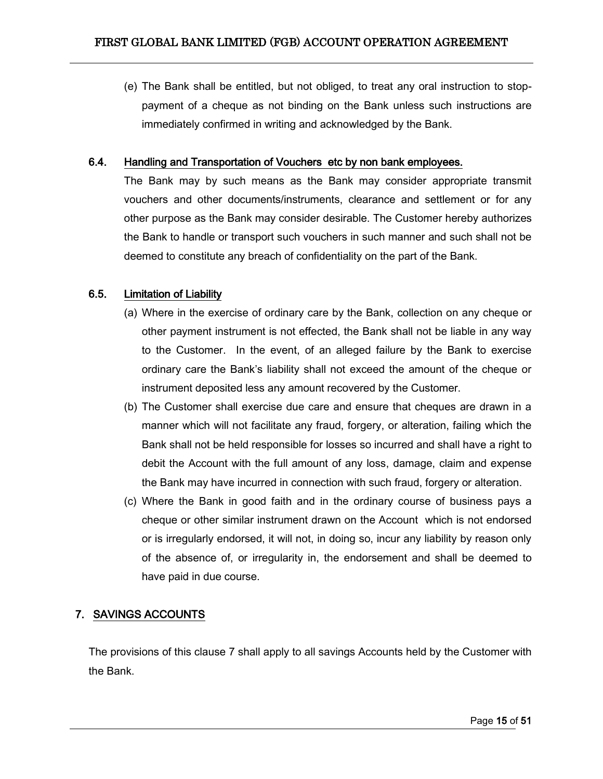(e) The Bank shall be entitled, but not obliged, to treat any oral instruction to stoppayment of a cheque as not binding on the Bank unless such instructions are immediately confirmed in writing and acknowledged by the Bank.

### <span id="page-14-0"></span>6.4. Handling and Transportation of Vouchers etc by non bank employees.

The Bank may by such means as the Bank may consider appropriate transmit vouchers and other documents/instruments, clearance and settlement or for any other purpose as the Bank may consider desirable. The Customer hereby authorizes the Bank to handle or transport such vouchers in such manner and such shall not be deemed to constitute any breach of confidentiality on the part of the Bank.

#### <span id="page-14-1"></span>6.5. Limitation of Liability

- (a) Where in the exercise of ordinary care by the Bank, collection on any cheque or other payment instrument is not effected, the Bank shall not be liable in any way to the Customer. In the event, of an alleged failure by the Bank to exercise ordinary care the Bank's liability shall not exceed the amount of the cheque or instrument deposited less any amount recovered by the Customer.
- (b) The Customer shall exercise due care and ensure that cheques are drawn in a manner which will not facilitate any fraud, forgery, or alteration, failing which the Bank shall not be held responsible for losses so incurred and shall have a right to debit the Account with the full amount of any loss, damage, claim and expense the Bank may have incurred in connection with such fraud, forgery or alteration.
- (c) Where the Bank in good faith and in the ordinary course of business pays a cheque or other similar instrument drawn on the Account which is not endorsed or is irregularly endorsed, it will not, in doing so, incur any liability by reason only of the absence of, or irregularity in, the endorsement and shall be deemed to have paid in due course.

## <span id="page-14-2"></span>7. SAVINGS ACCOUNTS

The provisions of this clause 7 shall apply to all savings Accounts held by the Customer with the Bank.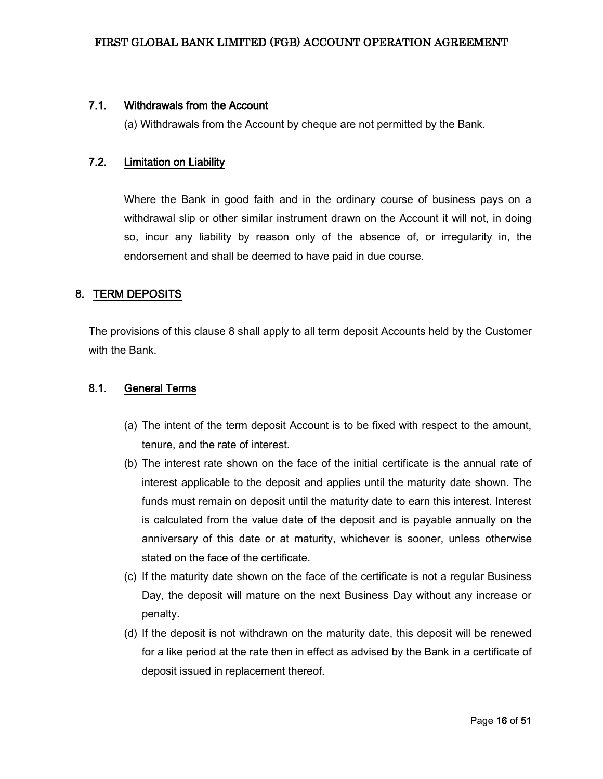### <span id="page-15-0"></span>7.1. Withdrawals from the Account

(a) Withdrawals from the Account by cheque are not permitted by the Bank.

### <span id="page-15-1"></span>7.2. Limitation on Liability

Where the Bank in good faith and in the ordinary course of business pays on a withdrawal slip or other similar instrument drawn on the Account it will not, in doing so, incur any liability by reason only of the absence of, or irregularity in, the endorsement and shall be deemed to have paid in due course.

## <span id="page-15-2"></span>8. TERM DEPOSITS

The provisions of this clause 8 shall apply to all term deposit Accounts held by the Customer with the Bank.

### <span id="page-15-3"></span>8.1. General Terms

- (a) The intent of the term deposit Account is to be fixed with respect to the amount, tenure, and the rate of interest.
- (b) The interest rate shown on the face of the initial certificate is the annual rate of interest applicable to the deposit and applies until the maturity date shown. The funds must remain on deposit until the maturity date to earn this interest. Interest is calculated from the value date of the deposit and is payable annually on the anniversary of this date or at maturity, whichever is sooner, unless otherwise stated on the face of the certificate.
- (c) If the maturity date shown on the face of the certificate is not a regular Business Day, the deposit will mature on the next Business Day without any increase or penalty.
- (d) If the deposit is not withdrawn on the maturity date, this deposit will be renewed for a like period at the rate then in effect as advised by the Bank in a certificate of deposit issued in replacement thereof.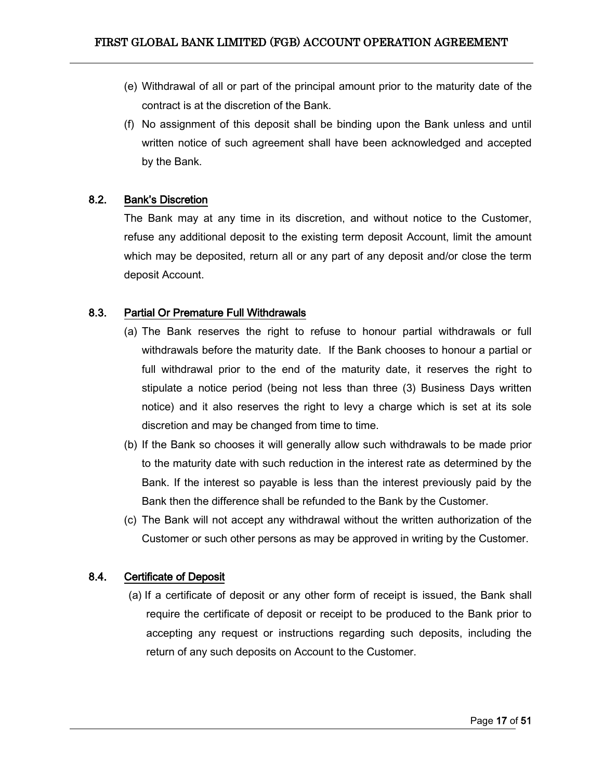- (e) Withdrawal of all or part of the principal amount prior to the maturity date of the contract is at the discretion of the Bank.
- (f) No assignment of this deposit shall be binding upon the Bank unless and until written notice of such agreement shall have been acknowledged and accepted by the Bank.

### <span id="page-16-0"></span>8.2. Bank's Discretion

The Bank may at any time in its discretion, and without notice to the Customer, refuse any additional deposit to the existing term deposit Account, limit the amount which may be deposited, return all or any part of any deposit and/or close the term deposit Account.

### <span id="page-16-1"></span>8.3. Partial Or Premature Full Withdrawals

- (a) The Bank reserves the right to refuse to honour partial withdrawals or full withdrawals before the maturity date. If the Bank chooses to honour a partial or full withdrawal prior to the end of the maturity date, it reserves the right to stipulate a notice period (being not less than three (3) Business Days written notice) and it also reserves the right to levy a charge which is set at its sole discretion and may be changed from time to time.
- (b) If the Bank so chooses it will generally allow such withdrawals to be made prior to the maturity date with such reduction in the interest rate as determined by the Bank. If the interest so payable is less than the interest previously paid by the Bank then the difference shall be refunded to the Bank by the Customer.
- (c) The Bank will not accept any withdrawal without the written authorization of the Customer or such other persons as may be approved in writing by the Customer.

### <span id="page-16-2"></span>8.4. Certificate of Deposit

(a) If a certificate of deposit or any other form of receipt is issued, the Bank shall require the certificate of deposit or receipt to be produced to the Bank prior to accepting any request or instructions regarding such deposits, including the return of any such deposits on Account to the Customer.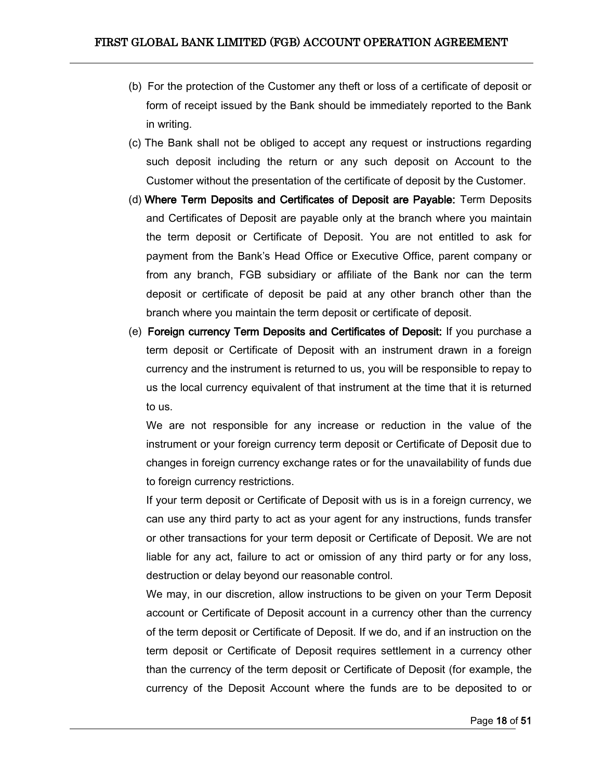- (b) For the protection of the Customer any theft or loss of a certificate of deposit or form of receipt issued by the Bank should be immediately reported to the Bank in writing.
- (c) The Bank shall not be obliged to accept any request or instructions regarding such deposit including the return or any such deposit on Account to the Customer without the presentation of the certificate of deposit by the Customer.
- (d) Where Term Deposits and Certificates of Deposit are Payable: Term Deposits and Certificates of Deposit are payable only at the branch where you maintain the term deposit or Certificate of Deposit. You are not entitled to ask for payment from the Bank's Head Office or Executive Office, parent company or from any branch, FGB subsidiary or affiliate of the Bank nor can the term deposit or certificate of deposit be paid at any other branch other than the branch where you maintain the term deposit or certificate of deposit.
- (e) Foreign currency Term Deposits and Certificates of Deposit: If you purchase a term deposit or Certificate of Deposit with an instrument drawn in a foreign currency and the instrument is returned to us, you will be responsible to repay to us the local currency equivalent of that instrument at the time that it is returned to us.

We are not responsible for any increase or reduction in the value of the instrument or your foreign currency term deposit or Certificate of Deposit due to changes in foreign currency exchange rates or for the unavailability of funds due to foreign currency restrictions.

If your term deposit or Certificate of Deposit with us is in a foreign currency, we can use any third party to act as your agent for any instructions, funds transfer or other transactions for your term deposit or Certificate of Deposit. We are not liable for any act, failure to act or omission of any third party or for any loss, destruction or delay beyond our reasonable control.

We may, in our discretion, allow instructions to be given on your Term Deposit account or Certificate of Deposit account in a currency other than the currency of the term deposit or Certificate of Deposit. If we do, and if an instruction on the term deposit or Certificate of Deposit requires settlement in a currency other than the currency of the term deposit or Certificate of Deposit (for example, the currency of the Deposit Account where the funds are to be deposited to or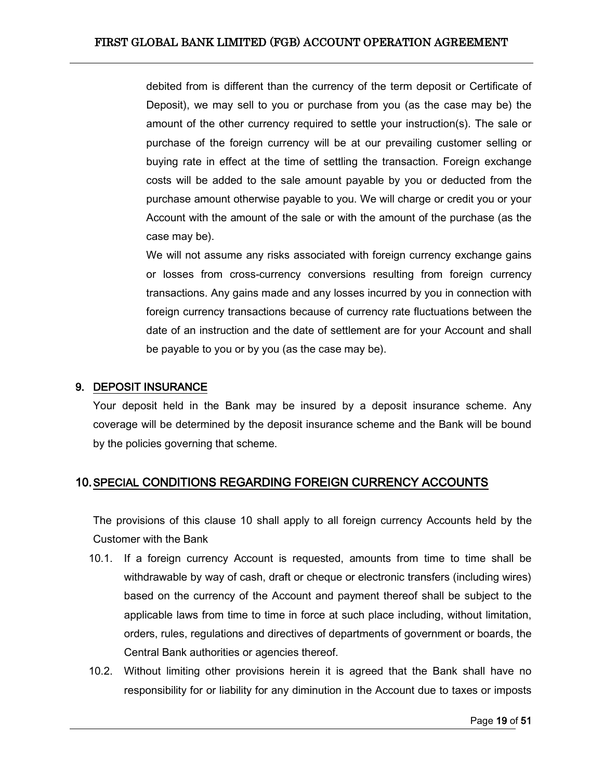debited from is different than the currency of the term deposit or Certificate of Deposit), we may sell to you or purchase from you (as the case may be) the amount of the other currency required to settle your instruction(s). The sale or purchase of the foreign currency will be at our prevailing customer selling or buying rate in effect at the time of settling the transaction. Foreign exchange costs will be added to the sale amount payable by you or deducted from the purchase amount otherwise payable to you. We will charge or credit you or your Account with the amount of the sale or with the amount of the purchase (as the case may be).

We will not assume any risks associated with foreign currency exchange gains or losses from cross-currency conversions resulting from foreign currency transactions. Any gains made and any losses incurred by you in connection with foreign currency transactions because of currency rate fluctuations between the date of an instruction and the date of settlement are for your Account and shall be payable to you or by you (as the case may be).

### <span id="page-18-0"></span>9. DEPOSIT INSURANCE

Your deposit held in the Bank may be insured by a deposit insurance scheme. Any coverage will be determined by the deposit insurance scheme and the Bank will be bound by the policies governing that scheme.

# <span id="page-18-1"></span>10.SPECIAL CONDITIONS REGARDING FOREIGN CURRENCY ACCOUNTS

The provisions of this clause 10 shall apply to all foreign currency Accounts held by the Customer with the Bank

- 10.1. If a foreign currency Account is requested, amounts from time to time shall be withdrawable by way of cash, draft or cheque or electronic transfers (including wires) based on the currency of the Account and payment thereof shall be subject to the applicable laws from time to time in force at such place including, without limitation, orders, rules, regulations and directives of departments of government or boards, the Central Bank authorities or agencies thereof.
- 10.2. Without limiting other provisions herein it is agreed that the Bank shall have no responsibility for or liability for any diminution in the Account due to taxes or imposts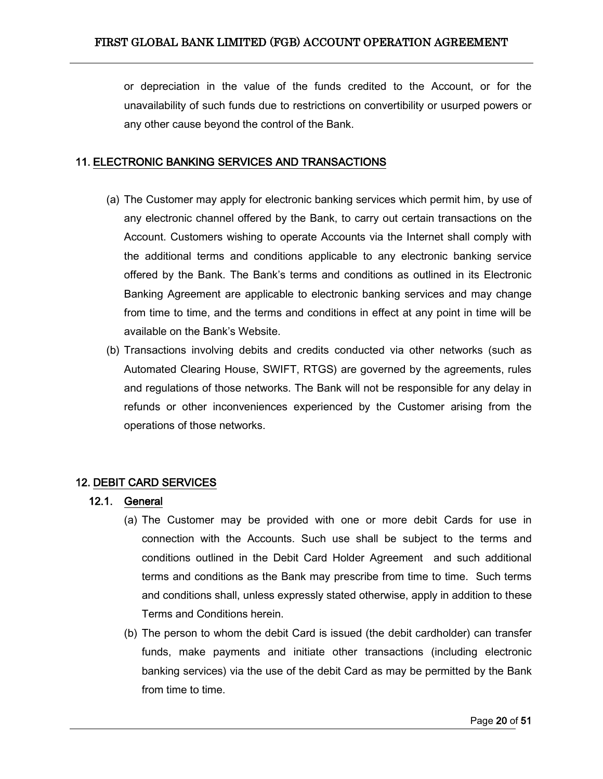or depreciation in the value of the funds credited to the Account, or for the unavailability of such funds due to restrictions on convertibility or usurped powers or any other cause beyond the control of the Bank.

### <span id="page-19-0"></span>11. ELECTRONIC BANKING SERVICES AND TRANSACTIONS

- (a) The Customer may apply for electronic banking services which permit him, by use of any electronic channel offered by the Bank, to carry out certain transactions on the Account. Customers wishing to operate Accounts via the Internet shall comply with the additional terms and conditions applicable to any electronic banking service offered by the Bank. The Bank's terms and conditions as outlined in its Electronic Banking Agreement are applicable to electronic banking services and may change from time to time, and the terms and conditions in effect at any point in time will be available on the Bank's Website.
- (b) Transactions involving debits and credits conducted via other networks (such as Automated Clearing House, SWIFT, RTGS) are governed by the agreements, rules and regulations of those networks. The Bank will not be responsible for any delay in refunds or other inconveniences experienced by the Customer arising from the operations of those networks.

### <span id="page-19-2"></span><span id="page-19-1"></span>12. DEBIT CARD SERVICES

#### 12.1. General

- (a) The Customer may be provided with one or more debit Cards for use in connection with the Accounts. Such use shall be subject to the terms and conditions outlined in the Debit Card Holder Agreement and such additional terms and conditions as the Bank may prescribe from time to time. Such terms and conditions shall, unless expressly stated otherwise, apply in addition to these Terms and Conditions herein.
- (b) The person to whom the debit Card is issued (the debit cardholder) can transfer funds, make payments and initiate other transactions (including electronic banking services) via the use of the debit Card as may be permitted by the Bank from time to time.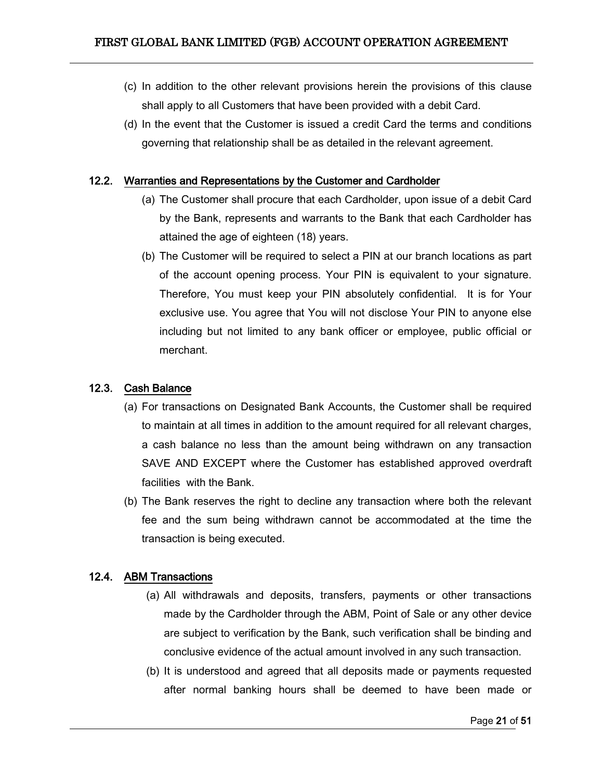- (c) In addition to the other relevant provisions herein the provisions of this clause shall apply to all Customers that have been provided with a debit Card.
- (d) In the event that the Customer is issued a credit Card the terms and conditions governing that relationship shall be as detailed in the relevant agreement.

#### <span id="page-20-0"></span>12.2. Warranties and Representations by the Customer and Cardholder

- (a) The Customer shall procure that each Cardholder, upon issue of a debit Card by the Bank, represents and warrants to the Bank that each Cardholder has attained the age of eighteen (18) years.
- (b) The Customer will be required to select a PIN at our branch locations as part of the account opening process. Your PIN is equivalent to your signature. Therefore, You must keep your PIN absolutely confidential. It is for Your exclusive use. You agree that You will not disclose Your PIN to anyone else including but not limited to any bank officer or employee, public official or merchant.

#### <span id="page-20-1"></span>12.3. Cash Balance

- (a) For transactions on Designated Bank Accounts, the Customer shall be required to maintain at all times in addition to the amount required for all relevant charges, a cash balance no less than the amount being withdrawn on any transaction SAVE AND EXCEPT where the Customer has established approved overdraft facilities with the Bank.
- (b) The Bank reserves the right to decline any transaction where both the relevant fee and the sum being withdrawn cannot be accommodated at the time the transaction is being executed.

## <span id="page-20-2"></span>12.4. ABM Transactions

- (a) All withdrawals and deposits, transfers, payments or other transactions made by the Cardholder through the ABM, Point of Sale or any other device are subject to verification by the Bank, such verification shall be binding and conclusive evidence of the actual amount involved in any such transaction.
- (b) It is understood and agreed that all deposits made or payments requested after normal banking hours shall be deemed to have been made or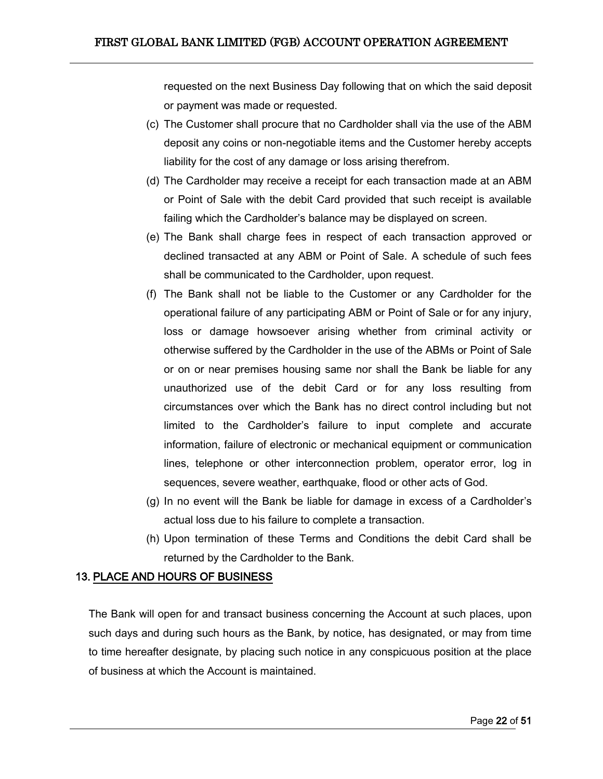requested on the next Business Day following that on which the said deposit or payment was made or requested.

- (c) The Customer shall procure that no Cardholder shall via the use of the ABM deposit any coins or non-negotiable items and the Customer hereby accepts liability for the cost of any damage or loss arising therefrom.
- (d) The Cardholder may receive a receipt for each transaction made at an ABM or Point of Sale with the debit Card provided that such receipt is available failing which the Cardholder's balance may be displayed on screen.
- (e) The Bank shall charge fees in respect of each transaction approved or declined transacted at any ABM or Point of Sale. A schedule of such fees shall be communicated to the Cardholder, upon request.
- (f) The Bank shall not be liable to the Customer or any Cardholder for the operational failure of any participating ABM or Point of Sale or for any injury, loss or damage howsoever arising whether from criminal activity or otherwise suffered by the Cardholder in the use of the ABMs or Point of Sale or on or near premises housing same nor shall the Bank be liable for any unauthorized use of the debit Card or for any loss resulting from circumstances over which the Bank has no direct control including but not limited to the Cardholder's failure to input complete and accurate information, failure of electronic or mechanical equipment or communication lines, telephone or other interconnection problem, operator error, log in sequences, severe weather, earthquake, flood or other acts of God.
- (g) In no event will the Bank be liable for damage in excess of a Cardholder's actual loss due to his failure to complete a transaction.
- (h) Upon termination of these Terms and Conditions the debit Card shall be returned by the Cardholder to the Bank.

### <span id="page-21-0"></span>13. PLACE AND HOURS OF BUSINESS

The Bank will open for and transact business concerning the Account at such places, upon such days and during such hours as the Bank, by notice, has designated, or may from time to time hereafter designate, by placing such notice in any conspicuous position at the place of business at which the Account is maintained.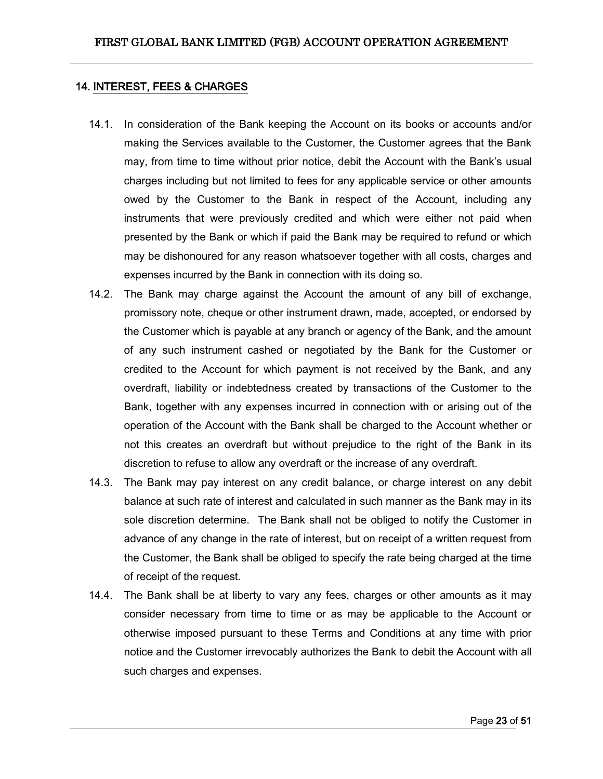#### <span id="page-22-0"></span>14. INTEREST, FEES & CHARGES

- 14.1. In consideration of the Bank keeping the Account on its books or accounts and/or making the Services available to the Customer, the Customer agrees that the Bank may, from time to time without prior notice, debit the Account with the Bank's usual charges including but not limited to fees for any applicable service or other amounts owed by the Customer to the Bank in respect of the Account, including any instruments that were previously credited and which were either not paid when presented by the Bank or which if paid the Bank may be required to refund or which may be dishonoured for any reason whatsoever together with all costs, charges and expenses incurred by the Bank in connection with its doing so.
- 14.2. The Bank may charge against the Account the amount of any bill of exchange, promissory note, cheque or other instrument drawn, made, accepted, or endorsed by the Customer which is payable at any branch or agency of the Bank, and the amount of any such instrument cashed or negotiated by the Bank for the Customer or credited to the Account for which payment is not received by the Bank, and any overdraft, liability or indebtedness created by transactions of the Customer to the Bank, together with any expenses incurred in connection with or arising out of the operation of the Account with the Bank shall be charged to the Account whether or not this creates an overdraft but without prejudice to the right of the Bank in its discretion to refuse to allow any overdraft or the increase of any overdraft.
- 14.3. The Bank may pay interest on any credit balance, or charge interest on any debit balance at such rate of interest and calculated in such manner as the Bank may in its sole discretion determine. The Bank shall not be obliged to notify the Customer in advance of any change in the rate of interest, but on receipt of a written request from the Customer, the Bank shall be obliged to specify the rate being charged at the time of receipt of the request.
- 14.4. The Bank shall be at liberty to vary any fees, charges or other amounts as it may consider necessary from time to time or as may be applicable to the Account or otherwise imposed pursuant to these Terms and Conditions at any time with prior notice and the Customer irrevocably authorizes the Bank to debit the Account with all such charges and expenses.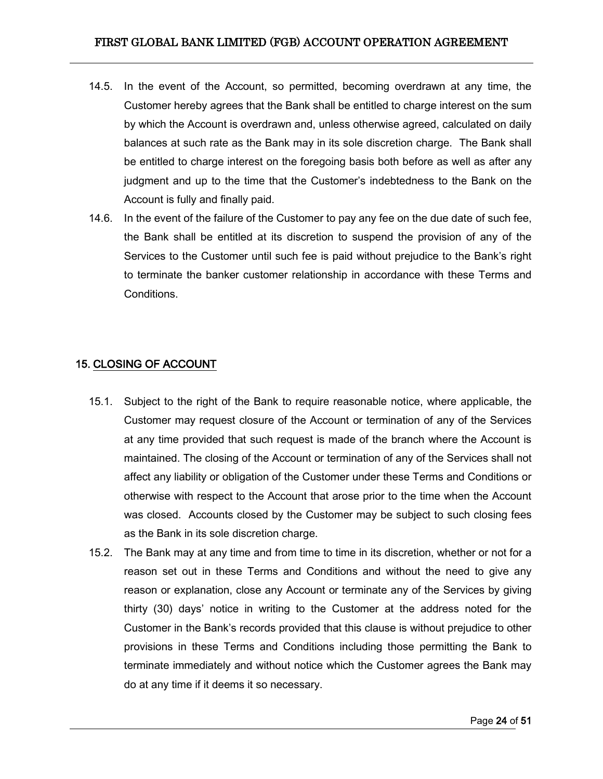- 14.5. In the event of the Account, so permitted, becoming overdrawn at any time, the Customer hereby agrees that the Bank shall be entitled to charge interest on the sum by which the Account is overdrawn and, unless otherwise agreed, calculated on daily balances at such rate as the Bank may in its sole discretion charge. The Bank shall be entitled to charge interest on the foregoing basis both before as well as after any judgment and up to the time that the Customer's indebtedness to the Bank on the Account is fully and finally paid.
- 14.6. In the event of the failure of the Customer to pay any fee on the due date of such fee, the Bank shall be entitled at its discretion to suspend the provision of any of the Services to the Customer until such fee is paid without prejudice to the Bank's right to terminate the banker customer relationship in accordance with these Terms and Conditions.

# <span id="page-23-0"></span>15. CLOSING OF ACCOUNT

- 15.1. Subject to the right of the Bank to require reasonable notice, where applicable, the Customer may request closure of the Account or termination of any of the Services at any time provided that such request is made of the branch where the Account is maintained. The closing of the Account or termination of any of the Services shall not affect any liability or obligation of the Customer under these Terms and Conditions or otherwise with respect to the Account that arose prior to the time when the Account was closed. Accounts closed by the Customer may be subject to such closing fees as the Bank in its sole discretion charge.
- 15.2. The Bank may at any time and from time to time in its discretion, whether or not for a reason set out in these Terms and Conditions and without the need to give any reason or explanation, close any Account or terminate any of the Services by giving thirty (30) days' notice in writing to the Customer at the address noted for the Customer in the Bank's records provided that this clause is without prejudice to other provisions in these Terms and Conditions including those permitting the Bank to terminate immediately and without notice which the Customer agrees the Bank may do at any time if it deems it so necessary.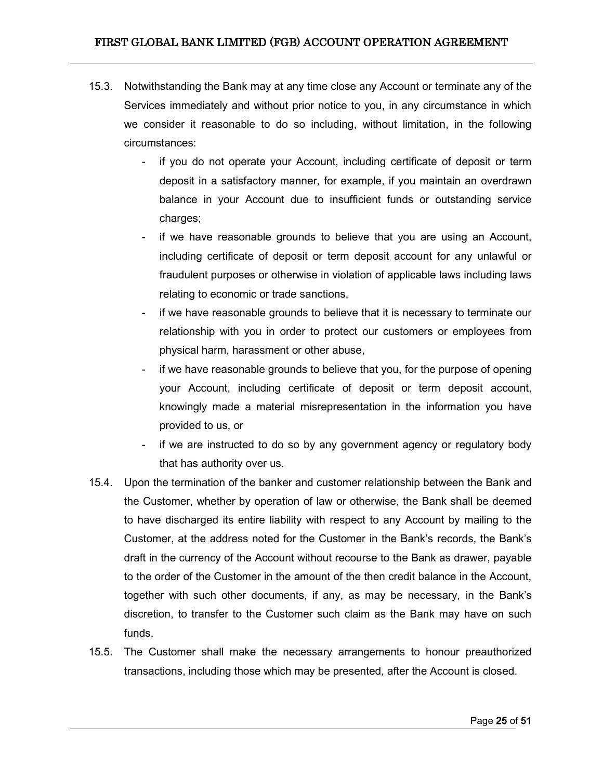- 15.3. Notwithstanding the Bank may at any time close any Account or terminate any of the Services immediately and without prior notice to you, in any circumstance in which we consider it reasonable to do so including, without limitation, in the following circumstances:
	- if you do not operate your Account, including certificate of deposit or term deposit in a satisfactory manner, for example, if you maintain an overdrawn balance in your Account due to insufficient funds or outstanding service charges;
	- if we have reasonable grounds to believe that you are using an Account, including certificate of deposit or term deposit account for any unlawful or fraudulent purposes or otherwise in violation of applicable laws including laws relating to economic or trade sanctions,
	- if we have reasonable grounds to believe that it is necessary to terminate our relationship with you in order to protect our customers or employees from physical harm, harassment or other abuse,
	- if we have reasonable grounds to believe that you, for the purpose of opening your Account, including certificate of deposit or term deposit account, knowingly made a material misrepresentation in the information you have provided to us, or
	- if we are instructed to do so by any government agency or regulatory body that has authority over us.
- 15.4. Upon the termination of the banker and customer relationship between the Bank and the Customer, whether by operation of law or otherwise, the Bank shall be deemed to have discharged its entire liability with respect to any Account by mailing to the Customer, at the address noted for the Customer in the Bank's records, the Bank's draft in the currency of the Account without recourse to the Bank as drawer, payable to the order of the Customer in the amount of the then credit balance in the Account, together with such other documents, if any, as may be necessary, in the Bank's discretion, to transfer to the Customer such claim as the Bank may have on such funds.
- 15.5. The Customer shall make the necessary arrangements to honour preauthorized transactions, including those which may be presented, after the Account is closed.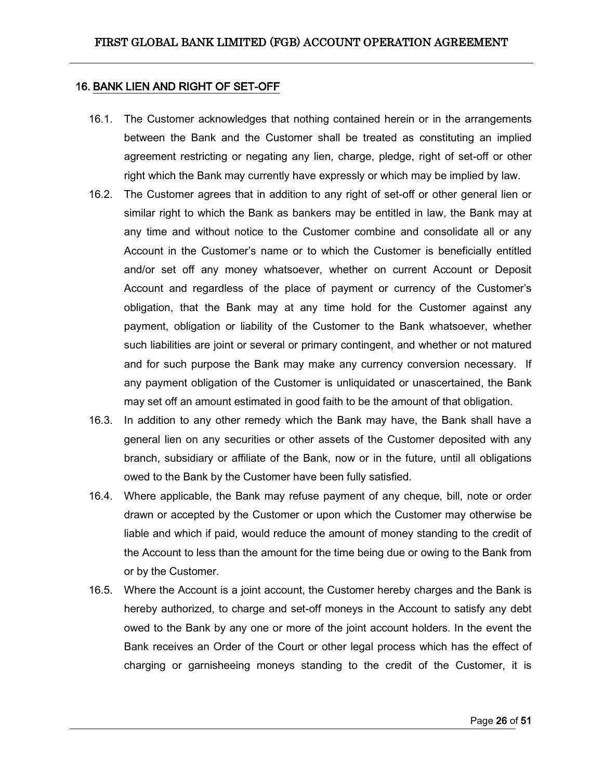#### <span id="page-25-0"></span>16. BANK LIEN AND RIGHT OF SET-OFF

- 16.1. The Customer acknowledges that nothing contained herein or in the arrangements between the Bank and the Customer shall be treated as constituting an implied agreement restricting or negating any lien, charge, pledge, right of set-off or other right which the Bank may currently have expressly or which may be implied by law.
- 16.2. The Customer agrees that in addition to any right of set-off or other general lien or similar right to which the Bank as bankers may be entitled in law, the Bank may at any time and without notice to the Customer combine and consolidate all or any Account in the Customer's name or to which the Customer is beneficially entitled and/or set off any money whatsoever, whether on current Account or Deposit Account and regardless of the place of payment or currency of the Customer's obligation, that the Bank may at any time hold for the Customer against any payment, obligation or liability of the Customer to the Bank whatsoever, whether such liabilities are joint or several or primary contingent, and whether or not matured and for such purpose the Bank may make any currency conversion necessary. If any payment obligation of the Customer is unliquidated or unascertained, the Bank may set off an amount estimated in good faith to be the amount of that obligation.
- 16.3. In addition to any other remedy which the Bank may have, the Bank shall have a general lien on any securities or other assets of the Customer deposited with any branch, subsidiary or affiliate of the Bank, now or in the future, until all obligations owed to the Bank by the Customer have been fully satisfied.
- 16.4. Where applicable, the Bank may refuse payment of any cheque, bill, note or order drawn or accepted by the Customer or upon which the Customer may otherwise be liable and which if paid, would reduce the amount of money standing to the credit of the Account to less than the amount for the time being due or owing to the Bank from or by the Customer.
- 16.5. Where the Account is a joint account, the Customer hereby charges and the Bank is hereby authorized, to charge and set-off moneys in the Account to satisfy any debt owed to the Bank by any one or more of the joint account holders. In the event the Bank receives an Order of the Court or other legal process which has the effect of charging or garnisheeing moneys standing to the credit of the Customer, it is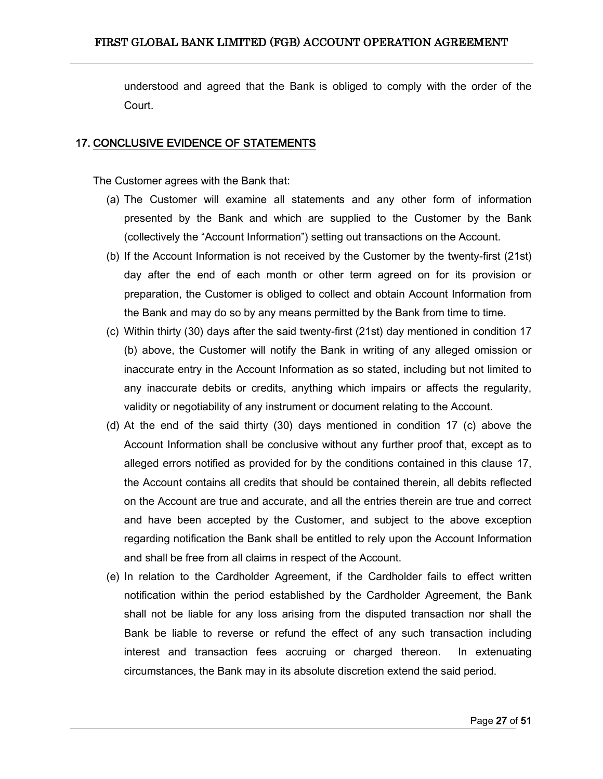understood and agreed that the Bank is obliged to comply with the order of the Court.

#### <span id="page-26-0"></span>17. CONCLUSIVE EVIDENCE OF STATEMENTS

The Customer agrees with the Bank that:

- (a) The Customer will examine all statements and any other form of information presented by the Bank and which are supplied to the Customer by the Bank (collectively the "Account Information") setting out transactions on the Account.
- (b) If the Account Information is not received by the Customer by the twenty-first (21st) day after the end of each month or other term agreed on for its provision or preparation, the Customer is obliged to collect and obtain Account Information from the Bank and may do so by any means permitted by the Bank from time to time.
- (c) Within thirty (30) days after the said twenty-first (21st) day mentioned in condition 17 (b) above, the Customer will notify the Bank in writing of any alleged omission or inaccurate entry in the Account Information as so stated, including but not limited to any inaccurate debits or credits, anything which impairs or affects the regularity, validity or negotiability of any instrument or document relating to the Account.
- (d) At the end of the said thirty (30) days mentioned in condition 17 (c) above the Account Information shall be conclusive without any further proof that, except as to alleged errors notified as provided for by the conditions contained in this clause 17, the Account contains all credits that should be contained therein, all debits reflected on the Account are true and accurate, and all the entries therein are true and correct and have been accepted by the Customer, and subject to the above exception regarding notification the Bank shall be entitled to rely upon the Account Information and shall be free from all claims in respect of the Account.
- (e) In relation to the Cardholder Agreement, if the Cardholder fails to effect written notification within the period established by the Cardholder Agreement, the Bank shall not be liable for any loss arising from the disputed transaction nor shall the Bank be liable to reverse or refund the effect of any such transaction including interest and transaction fees accruing or charged thereon. In extenuating circumstances, the Bank may in its absolute discretion extend the said period.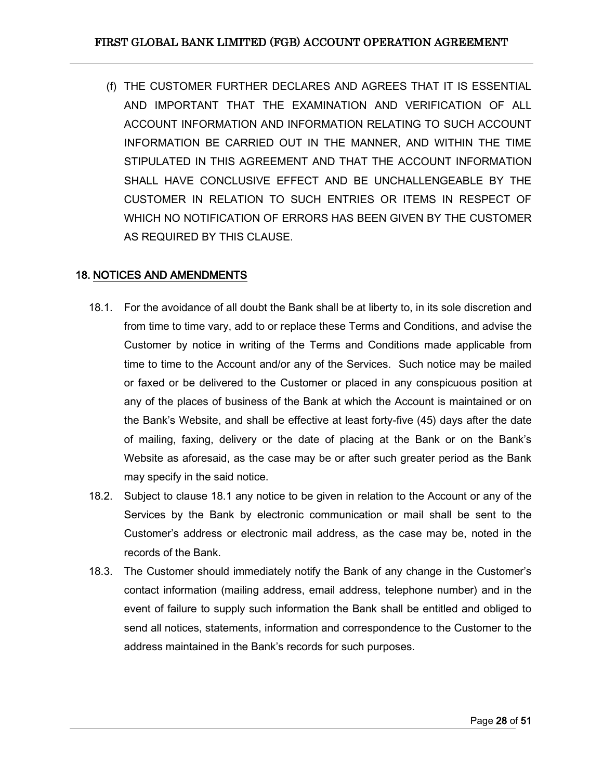(f) THE CUSTOMER FURTHER DECLARES AND AGREES THAT IT IS ESSENTIAL AND IMPORTANT THAT THE EXAMINATION AND VERIFICATION OF ALL ACCOUNT INFORMATION AND INFORMATION RELATING TO SUCH ACCOUNT INFORMATION BE CARRIED OUT IN THE MANNER, AND WITHIN THE TIME STIPULATED IN THIS AGREEMENT AND THAT THE ACCOUNT INFORMATION SHALL HAVE CONCLUSIVE EFFECT AND BE UNCHALLENGEABLE BY THE CUSTOMER IN RELATION TO SUCH ENTRIES OR ITEMS IN RESPECT OF WHICH NO NOTIFICATION OF ERRORS HAS BEEN GIVEN BY THE CUSTOMER AS REQUIRED BY THIS CLAUSE.

### <span id="page-27-0"></span>18. NOTICES AND AMENDMENTS

- 18.1. For the avoidance of all doubt the Bank shall be at liberty to, in its sole discretion and from time to time vary, add to or replace these Terms and Conditions, and advise the Customer by notice in writing of the Terms and Conditions made applicable from time to time to the Account and/or any of the Services. Such notice may be mailed or faxed or be delivered to the Customer or placed in any conspicuous position at any of the places of business of the Bank at which the Account is maintained or on the Bank's Website, and shall be effective at least forty-five (45) days after the date of mailing, faxing, delivery or the date of placing at the Bank or on the Bank's Website as aforesaid, as the case may be or after such greater period as the Bank may specify in the said notice.
- 18.2. Subject to clause 18.1 any notice to be given in relation to the Account or any of the Services by the Bank by electronic communication or mail shall be sent to the Customer's address or electronic mail address, as the case may be, noted in the records of the Bank.
- 18.3. The Customer should immediately notify the Bank of any change in the Customer's contact information (mailing address, email address, telephone number) and in the event of failure to supply such information the Bank shall be entitled and obliged to send all notices, statements, information and correspondence to the Customer to the address maintained in the Bank's records for such purposes.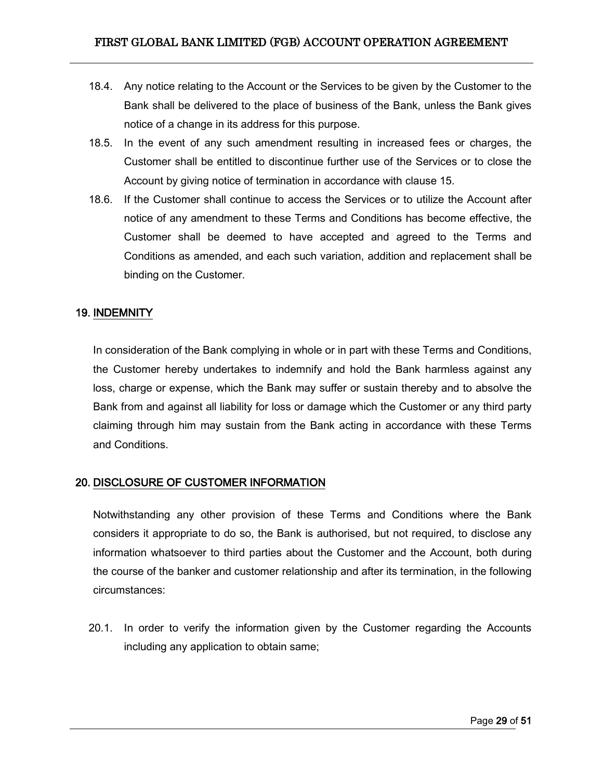- 18.4. Any notice relating to the Account or the Services to be given by the Customer to the Bank shall be delivered to the place of business of the Bank, unless the Bank gives notice of a change in its address for this purpose.
- 18.5. In the event of any such amendment resulting in increased fees or charges, the Customer shall be entitled to discontinue further use of the Services or to close the Account by giving notice of termination in accordance with clause 15.
- 18.6. If the Customer shall continue to access the Services or to utilize the Account after notice of any amendment to these Terms and Conditions has become effective, the Customer shall be deemed to have accepted and agreed to the Terms and Conditions as amended, and each such variation, addition and replacement shall be binding on the Customer.

### <span id="page-28-0"></span>19. INDEMNITY

In consideration of the Bank complying in whole or in part with these Terms and Conditions, the Customer hereby undertakes to indemnify and hold the Bank harmless against any loss, charge or expense, which the Bank may suffer or sustain thereby and to absolve the Bank from and against all liability for loss or damage which the Customer or any third party claiming through him may sustain from the Bank acting in accordance with these Terms and Conditions.

### <span id="page-28-1"></span>20. DISCLOSURE OF CUSTOMER INFORMATION

Notwithstanding any other provision of these Terms and Conditions where the Bank considers it appropriate to do so, the Bank is authorised, but not required, to disclose any information whatsoever to third parties about the Customer and the Account, both during the course of the banker and customer relationship and after its termination, in the following circumstances:

20.1. In order to verify the information given by the Customer regarding the Accounts including any application to obtain same;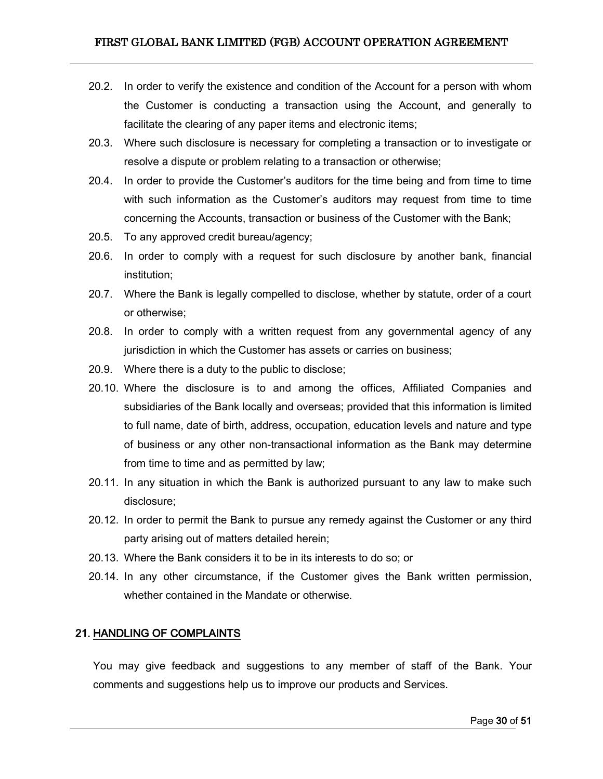- 20.2. In order to verify the existence and condition of the Account for a person with whom the Customer is conducting a transaction using the Account, and generally to facilitate the clearing of any paper items and electronic items;
- 20.3. Where such disclosure is necessary for completing a transaction or to investigate or resolve a dispute or problem relating to a transaction or otherwise;
- 20.4. In order to provide the Customer's auditors for the time being and from time to time with such information as the Customer's auditors may request from time to time concerning the Accounts, transaction or business of the Customer with the Bank;
- 20.5. To any approved credit bureau/agency;
- 20.6. In order to comply with a request for such disclosure by another bank, financial institution;
- 20.7. Where the Bank is legally compelled to disclose, whether by statute, order of a court or otherwise;
- 20.8. In order to comply with a written request from any governmental agency of any jurisdiction in which the Customer has assets or carries on business;
- 20.9. Where there is a duty to the public to disclose;
- 20.10. Where the disclosure is to and among the offices, Affiliated Companies and subsidiaries of the Bank locally and overseas; provided that this information is limited to full name, date of birth, address, occupation, education levels and nature and type of business or any other non-transactional information as the Bank may determine from time to time and as permitted by law;
- 20.11. In any situation in which the Bank is authorized pursuant to any law to make such disclosure;
- 20.12. In order to permit the Bank to pursue any remedy against the Customer or any third party arising out of matters detailed herein;
- 20.13. Where the Bank considers it to be in its interests to do so; or
- 20.14. In any other circumstance, if the Customer gives the Bank written permission, whether contained in the Mandate or otherwise.

### <span id="page-29-0"></span>21. HANDLING OF COMPLAINTS

You may give feedback and suggestions to any member of staff of the Bank. Your comments and suggestions help us to improve our products and Services.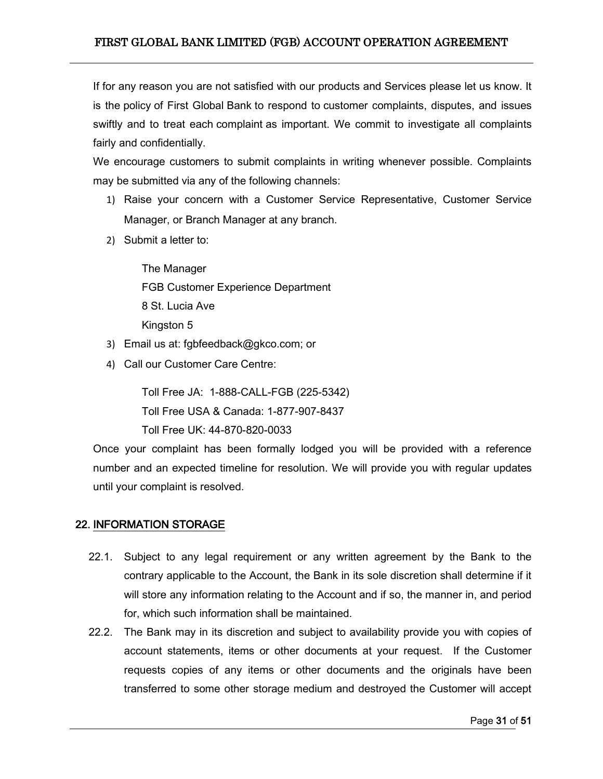If for any reason you are not satisfied with our products and Services please let us know. It is the policy of First Global Bank to respond to customer complaints, disputes, and issues swiftly and to treat each complaint as important. We commit to investigate all complaints fairly and confidentially.

We encourage customers to submit complaints in writing whenever possible. Complaints may be submitted via any of the following channels:

- 1) Raise your concern with a Customer Service Representative, Customer Service Manager, or Branch Manager at any branch.
- 2) Submit a letter to:

The Manager FGB Customer Experience Department 8 St. Lucia Ave Kingston 5

- 3) Email us at: [fgbfeedback@gkco.com;](mailto:fgbfeedback@gkco.com) or
- 4) Call our Customer Care Centre:

Toll Free JA: 1-888-CALL-FGB (225-5342) Toll Free USA & Canada: 1-877-907-8437 Toll Free UK: 44-870-820-0033

Once your complaint has been formally lodged you will be provided with a reference number and an expected timeline for resolution. We will provide you with regular updates until your complaint is resolved.

## <span id="page-30-0"></span>22. INFORMATION STORAGE

- 22.1. Subject to any legal requirement or any written agreement by the Bank to the contrary applicable to the Account, the Bank in its sole discretion shall determine if it will store any information relating to the Account and if so, the manner in, and period for, which such information shall be maintained.
- 22.2. The Bank may in its discretion and subject to availability provide you with copies of account statements, items or other documents at your request. If the Customer requests copies of any items or other documents and the originals have been transferred to some other storage medium and destroyed the Customer will accept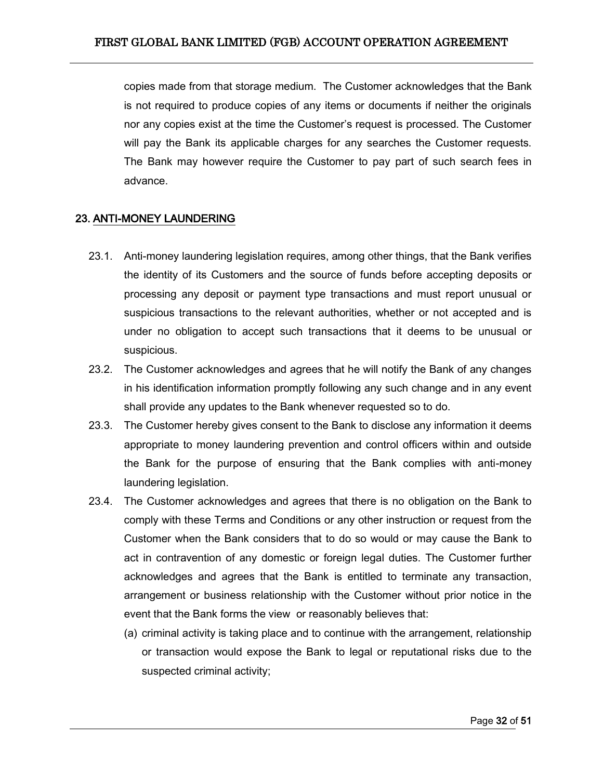copies made from that storage medium. The Customer acknowledges that the Bank is not required to produce copies of any items or documents if neither the originals nor any copies exist at the time the Customer's request is processed. The Customer will pay the Bank its applicable charges for any searches the Customer requests. The Bank may however require the Customer to pay part of such search fees in advance.

### <span id="page-31-0"></span>23. ANTI-MONEY LAUNDERING

- 23.1. Anti-money laundering legislation requires, among other things, that the Bank verifies the identity of its Customers and the source of funds before accepting deposits or processing any deposit or payment type transactions and must report unusual or suspicious transactions to the relevant authorities, whether or not accepted and is under no obligation to accept such transactions that it deems to be unusual or suspicious.
- 23.2. The Customer acknowledges and agrees that he will notify the Bank of any changes in his identification information promptly following any such change and in any event shall provide any updates to the Bank whenever requested so to do.
- 23.3. The Customer hereby gives consent to the Bank to disclose any information it deems appropriate to money laundering prevention and control officers within and outside the Bank for the purpose of ensuring that the Bank complies with anti-money laundering legislation.
- 23.4. The Customer acknowledges and agrees that there is no obligation on the Bank to comply with these Terms and Conditions or any other instruction or request from the Customer when the Bank considers that to do so would or may cause the Bank to act in contravention of any domestic or foreign legal duties. The Customer further acknowledges and agrees that the Bank is entitled to terminate any transaction, arrangement or business relationship with the Customer without prior notice in the event that the Bank forms the view or reasonably believes that:
	- (a) criminal activity is taking place and to continue with the arrangement, relationship or transaction would expose the Bank to legal or reputational risks due to the suspected criminal activity;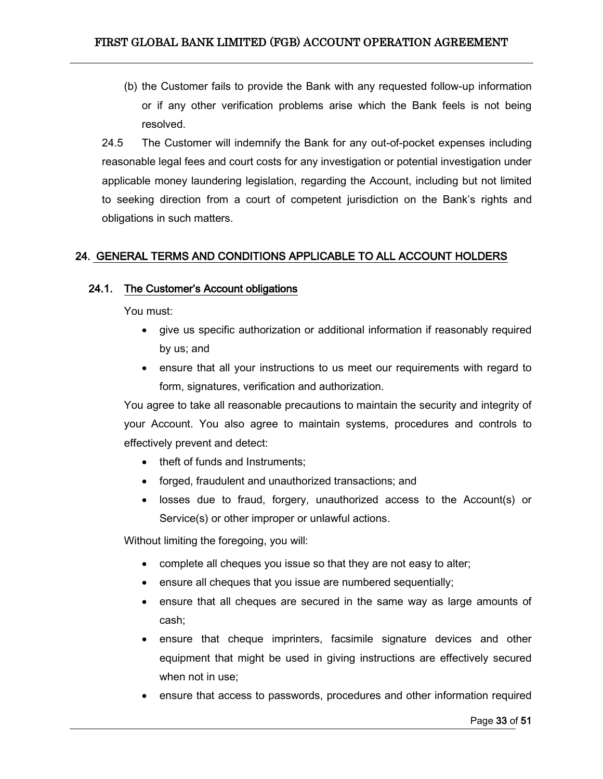(b) the Customer fails to provide the Bank with any requested follow-up information or if any other verification problems arise which the Bank feels is not being resolved.

24.5 The Customer will indemnify the Bank for any out-of-pocket expenses including reasonable legal fees and court costs for any investigation or potential investigation under applicable money laundering legislation, regarding the Account, including but not limited to seeking direction from a court of competent jurisdiction on the Bank's rights and obligations in such matters.

# <span id="page-32-0"></span>24. GENERAL TERMS AND CONDITIONS APPLICABLE TO ALL ACCOUNT HOLDERS

### <span id="page-32-1"></span>24.1. The Customer's Account obligations

You must:

- give us specific authorization or additional information if reasonably required by us; and
- ensure that all your instructions to us meet our requirements with regard to form, signatures, verification and authorization.

You agree to take all reasonable precautions to maintain the security and integrity of your Account. You also agree to maintain systems, procedures and controls to effectively prevent and detect:

- theft of funds and Instruments:
- forged, fraudulent and unauthorized transactions; and
- losses due to fraud, forgery, unauthorized access to the Account(s) or Service(s) or other improper or unlawful actions.

Without limiting the foregoing, you will:

- complete all cheques you issue so that they are not easy to alter;
- ensure all cheques that you issue are numbered sequentially;
- ensure that all cheques are secured in the same way as large amounts of cash;
- ensure that cheque imprinters, facsimile signature devices and other equipment that might be used in giving instructions are effectively secured when not in use;
- ensure that access to passwords, procedures and other information required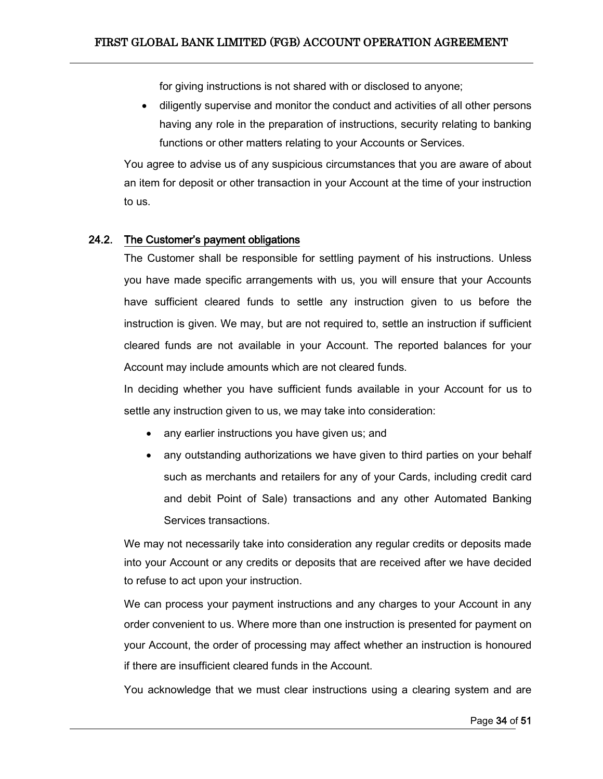for giving instructions is not shared with or disclosed to anyone;

 diligently supervise and monitor the conduct and activities of all other persons having any role in the preparation of instructions, security relating to banking functions or other matters relating to your Accounts or Services.

You agree to advise us of any suspicious circumstances that you are aware of about an item for deposit or other transaction in your Account at the time of your instruction to us.

### <span id="page-33-0"></span>24.2. The Customer's payment obligations

The Customer shall be responsible for settling payment of his instructions. Unless you have made specific arrangements with us, you will ensure that your Accounts have sufficient cleared funds to settle any instruction given to us before the instruction is given. We may, but are not required to, settle an instruction if sufficient cleared funds are not available in your Account. The reported balances for your Account may include amounts which are not cleared funds.

In deciding whether you have sufficient funds available in your Account for us to settle any instruction given to us, we may take into consideration:

- any earlier instructions you have given us; and
- any outstanding authorizations we have given to third parties on your behalf such as merchants and retailers for any of your Cards, including credit card and debit Point of Sale) transactions and any other Automated Banking Services transactions.

We may not necessarily take into consideration any regular credits or deposits made into your Account or any credits or deposits that are received after we have decided to refuse to act upon your instruction.

We can process your payment instructions and any charges to your Account in any order convenient to us. Where more than one instruction is presented for payment on your Account, the order of processing may affect whether an instruction is honoured if there are insufficient cleared funds in the Account.

You acknowledge that we must clear instructions using a clearing system and are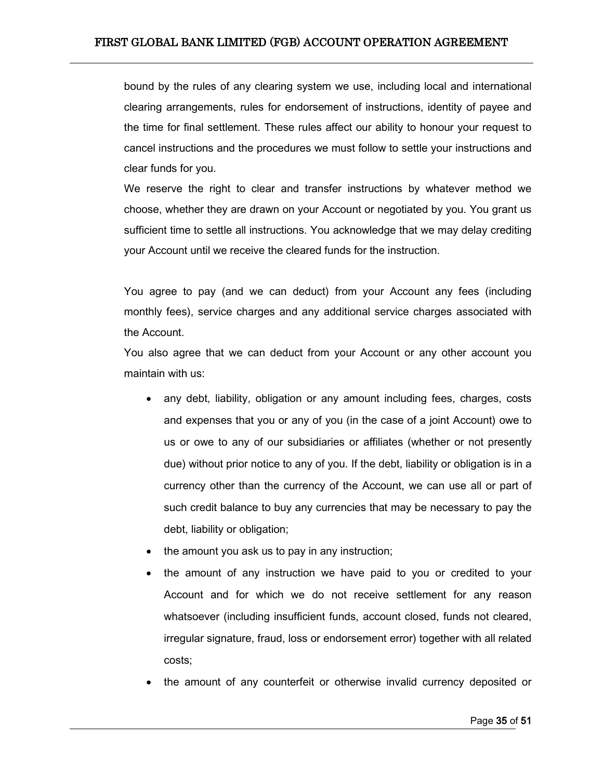bound by the rules of any clearing system we use, including local and international clearing arrangements, rules for endorsement of instructions, identity of payee and the time for final settlement. These rules affect our ability to honour your request to cancel instructions and the procedures we must follow to settle your instructions and clear funds for you.

We reserve the right to clear and transfer instructions by whatever method we choose, whether they are drawn on your Account or negotiated by you. You grant us sufficient time to settle all instructions. You acknowledge that we may delay crediting your Account until we receive the cleared funds for the instruction.

You agree to pay (and we can deduct) from your Account any fees (including monthly fees), service charges and any additional service charges associated with the Account.

You also agree that we can deduct from your Account or any other account you maintain with us:

- any debt, liability, obligation or any amount including fees, charges, costs and expenses that you or any of you (in the case of a joint Account) owe to us or owe to any of our subsidiaries or affiliates (whether or not presently due) without prior notice to any of you. If the debt, liability or obligation is in a currency other than the currency of the Account, we can use all or part of such credit balance to buy any currencies that may be necessary to pay the debt, liability or obligation;
- the amount you ask us to pay in any instruction;
- the amount of any instruction we have paid to you or credited to your Account and for which we do not receive settlement for any reason whatsoever (including insufficient funds, account closed, funds not cleared, irregular signature, fraud, loss or endorsement error) together with all related costs;
- the amount of any counterfeit or otherwise invalid currency deposited or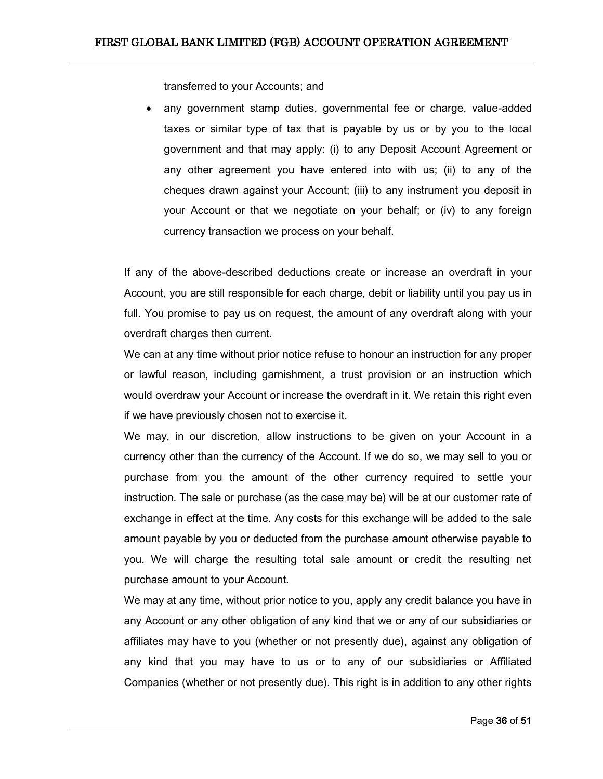transferred to your Accounts; and

 any government stamp duties, governmental fee or charge, value-added taxes or similar type of tax that is payable by us or by you to the local government and that may apply: (i) to any Deposit Account Agreement or any other agreement you have entered into with us; (ii) to any of the cheques drawn against your Account; (iii) to any instrument you deposit in your Account or that we negotiate on your behalf; or (iv) to any foreign currency transaction we process on your behalf.

If any of the above-described deductions create or increase an overdraft in your Account, you are still responsible for each charge, debit or liability until you pay us in full. You promise to pay us on request, the amount of any overdraft along with your overdraft charges then current.

We can at any time without prior notice refuse to honour an instruction for any proper or lawful reason, including garnishment, a trust provision or an instruction which would overdraw your Account or increase the overdraft in it. We retain this right even if we have previously chosen not to exercise it.

We may, in our discretion, allow instructions to be given on your Account in a currency other than the currency of the Account. If we do so, we may sell to you or purchase from you the amount of the other currency required to settle your instruction. The sale or purchase (as the case may be) will be at our customer rate of exchange in effect at the time. Any costs for this exchange will be added to the sale amount payable by you or deducted from the purchase amount otherwise payable to you. We will charge the resulting total sale amount or credit the resulting net purchase amount to your Account.

We may at any time, without prior notice to you, apply any credit balance you have in any Account or any other obligation of any kind that we or any of our subsidiaries or affiliates may have to you (whether or not presently due), against any obligation of any kind that you may have to us or to any of our subsidiaries or Affiliated Companies (whether or not presently due). This right is in addition to any other rights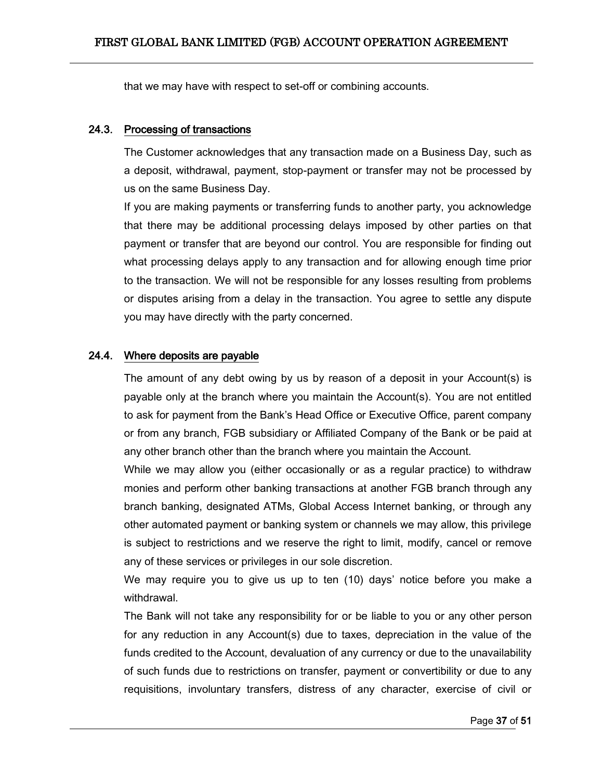that we may have with respect to set-off or combining accounts.

### <span id="page-36-0"></span>24.3. Processing of transactions

The Customer acknowledges that any transaction made on a Business Day, such as a deposit, withdrawal, payment, stop-payment or transfer may not be processed by us on the same Business Day.

If you are making payments or transferring funds to another party, you acknowledge that there may be additional processing delays imposed by other parties on that payment or transfer that are beyond our control. You are responsible for finding out what processing delays apply to any transaction and for allowing enough time prior to the transaction. We will not be responsible for any losses resulting from problems or disputes arising from a delay in the transaction. You agree to settle any dispute you may have directly with the party concerned.

### <span id="page-36-1"></span>24.4. Where deposits are payable

The amount of any debt owing by us by reason of a deposit in your Account(s) is payable only at the branch where you maintain the Account(s). You are not entitled to ask for payment from the Bank's Head Office or Executive Office, parent company or from any branch, FGB subsidiary or Affiliated Company of the Bank or be paid at any other branch other than the branch where you maintain the Account.

While we may allow you (either occasionally or as a regular practice) to withdraw monies and perform other banking transactions at another FGB branch through any branch banking, designated ATMs, Global Access Internet banking, or through any other automated payment or banking system or channels we may allow, this privilege is subject to restrictions and we reserve the right to limit, modify, cancel or remove any of these services or privileges in our sole discretion.

We may require you to give us up to ten (10) days' notice before you make a withdrawal.

The Bank will not take any responsibility for or be liable to you or any other person for any reduction in any Account(s) due to taxes, depreciation in the value of the funds credited to the Account, devaluation of any currency or due to the unavailability of such funds due to restrictions on transfer, payment or convertibility or due to any requisitions, involuntary transfers, distress of any character, exercise of civil or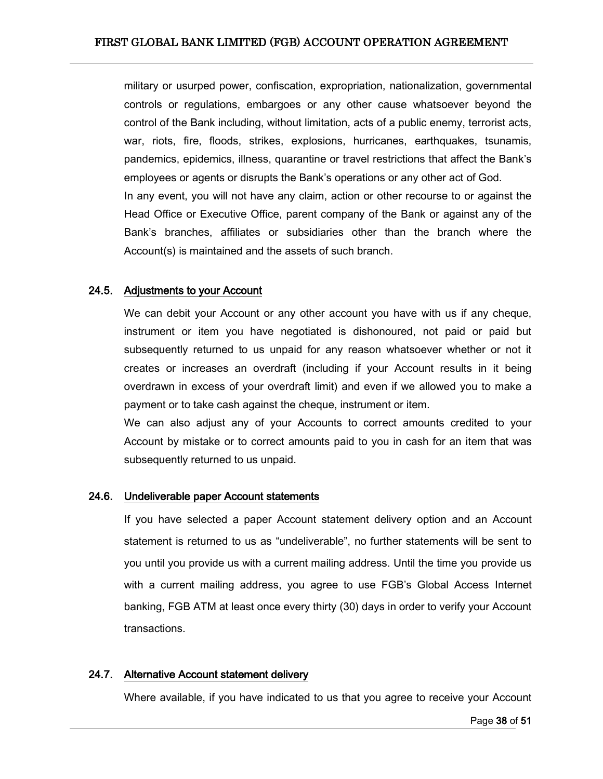military or usurped power, confiscation, expropriation, nationalization, governmental controls or regulations, embargoes or any other cause whatsoever beyond the control of the Bank including, without limitation, acts of a public enemy, terrorist acts, war, riots, fire, floods, strikes, explosions, hurricanes, earthquakes, tsunamis, pandemics, epidemics, illness, quarantine or travel restrictions that affect the Bank's employees or agents or disrupts the Bank's operations or any other act of God. In any event, you will not have any claim, action or other recourse to or against the Head Office or Executive Office, parent company of the Bank or against any of the Bank's branches, affiliates or subsidiaries other than the branch where the Account(s) is maintained and the assets of such branch.

#### <span id="page-37-0"></span>24.5. Adjustments to your Account

We can debit your Account or any other account you have with us if any cheque, instrument or item you have negotiated is dishonoured, not paid or paid but subsequently returned to us unpaid for any reason whatsoever whether or not it creates or increases an overdraft (including if your Account results in it being overdrawn in excess of your overdraft limit) and even if we allowed you to make a payment or to take cash against the cheque, instrument or item.

We can also adjust any of your Accounts to correct amounts credited to your Account by mistake or to correct amounts paid to you in cash for an item that was subsequently returned to us unpaid.

#### <span id="page-37-1"></span>24.6. Undeliverable paper Account statements

If you have selected a paper Account statement delivery option and an Account statement is returned to us as "undeliverable", no further statements will be sent to you until you provide us with a current mailing address. Until the time you provide us with a current mailing address, you agree to use FGB's Global Access Internet banking, FGB ATM at least once every thirty (30) days in order to verify your Account transactions.

#### <span id="page-37-2"></span>24.7. Alternative Account statement delivery

Where available, if you have indicated to us that you agree to receive your Account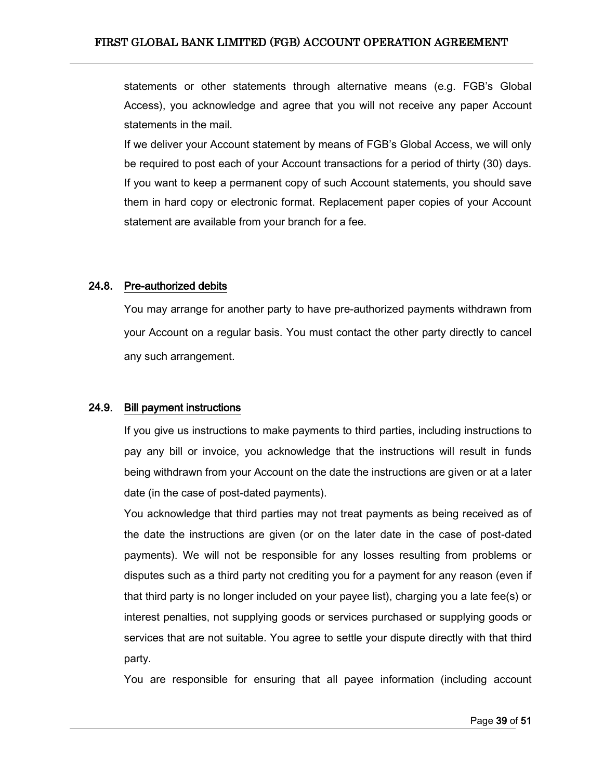statements or other statements through alternative means (e.g. FGB's Global Access), you acknowledge and agree that you will not receive any paper Account statements in the mail.

If we deliver your Account statement by means of FGB's Global Access, we will only be required to post each of your Account transactions for a period of thirty (30) days. If you want to keep a permanent copy of such Account statements, you should save them in hard copy or electronic format. Replacement paper copies of your Account statement are available from your branch for a fee.

### <span id="page-38-0"></span>24.8. Pre-authorized debits

You may arrange for another party to have pre-authorized payments withdrawn from your Account on a regular basis. You must contact the other party directly to cancel any such arrangement.

### <span id="page-38-1"></span>24.9. Bill payment instructions

If you give us instructions to make payments to third parties, including instructions to pay any bill or invoice, you acknowledge that the instructions will result in funds being withdrawn from your Account on the date the instructions are given or at a later date (in the case of post-dated payments).

You acknowledge that third parties may not treat payments as being received as of the date the instructions are given (or on the later date in the case of post-dated payments). We will not be responsible for any losses resulting from problems or disputes such as a third party not crediting you for a payment for any reason (even if that third party is no longer included on your payee list), charging you a late fee(s) or interest penalties, not supplying goods or services purchased or supplying goods or services that are not suitable. You agree to settle your dispute directly with that third party.

You are responsible for ensuring that all payee information (including account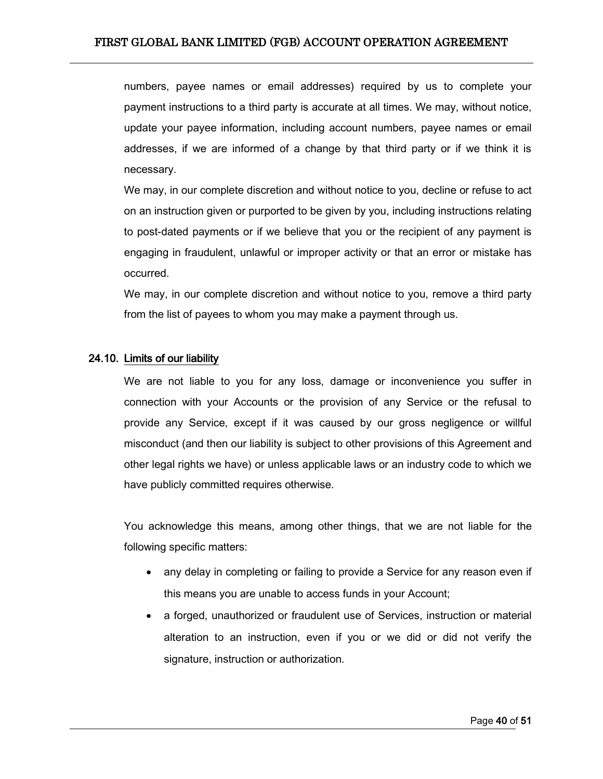numbers, payee names or email addresses) required by us to complete your payment instructions to a third party is accurate at all times. We may, without notice, update your payee information, including account numbers, payee names or email addresses, if we are informed of a change by that third party or if we think it is necessary.

We may, in our complete discretion and without notice to you, decline or refuse to act on an instruction given or purported to be given by you, including instructions relating to post-dated payments or if we believe that you or the recipient of any payment is engaging in fraudulent, unlawful or improper activity or that an error or mistake has occurred.

We may, in our complete discretion and without notice to you, remove a third party from the list of payees to whom you may make a payment through us.

#### <span id="page-39-0"></span>24.10. Limits of our liability

We are not liable to you for any loss, damage or inconvenience you suffer in connection with your Accounts or the provision of any Service or the refusal to provide any Service, except if it was caused by our gross negligence or willful misconduct (and then our liability is subject to other provisions of this Agreement and other legal rights we have) or unless applicable laws or an industry code to which we have publicly committed requires otherwise.

You acknowledge this means, among other things, that we are not liable for the following specific matters:

- any delay in completing or failing to provide a Service for any reason even if this means you are unable to access funds in your Account;
- a forged, unauthorized or fraudulent use of Services, instruction or material alteration to an instruction, even if you or we did or did not verify the signature, instruction or authorization.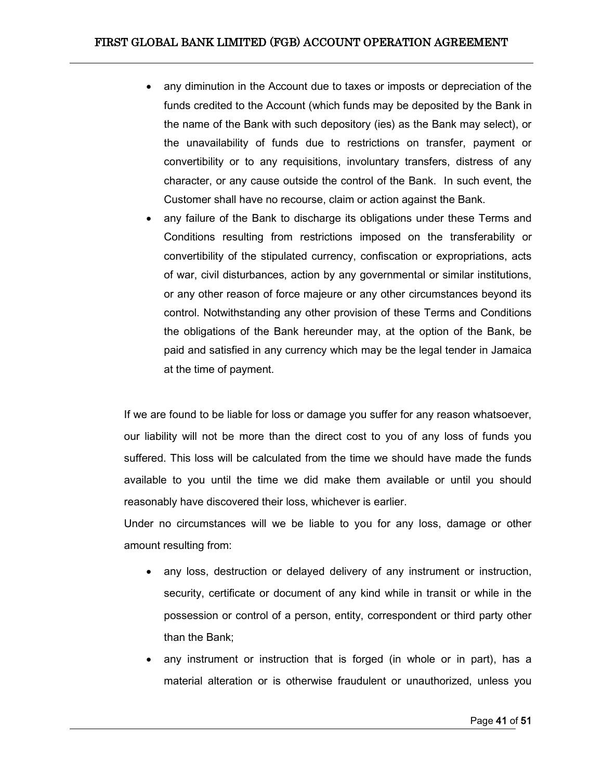- any diminution in the Account due to taxes or imposts or depreciation of the funds credited to the Account (which funds may be deposited by the Bank in the name of the Bank with such depository (ies) as the Bank may select), or the unavailability of funds due to restrictions on transfer, payment or convertibility or to any requisitions, involuntary transfers, distress of any character, or any cause outside the control of the Bank. In such event, the Customer shall have no recourse, claim or action against the Bank.
- any failure of the Bank to discharge its obligations under these Terms and Conditions resulting from restrictions imposed on the transferability or convertibility of the stipulated currency, confiscation or expropriations, acts of war, civil disturbances, action by any governmental or similar institutions, or any other reason of force majeure or any other circumstances beyond its control. Notwithstanding any other provision of these Terms and Conditions the obligations of the Bank hereunder may, at the option of the Bank, be paid and satisfied in any currency which may be the legal tender in Jamaica at the time of payment.

If we are found to be liable for loss or damage you suffer for any reason whatsoever, our liability will not be more than the direct cost to you of any loss of funds you suffered. This loss will be calculated from the time we should have made the funds available to you until the time we did make them available or until you should reasonably have discovered their loss, whichever is earlier.

Under no circumstances will we be liable to you for any loss, damage or other amount resulting from:

- any loss, destruction or delayed delivery of any instrument or instruction, security, certificate or document of any kind while in transit or while in the possession or control of a person, entity, correspondent or third party other than the Bank;
- any instrument or instruction that is forged (in whole or in part), has a material alteration or is otherwise fraudulent or unauthorized, unless you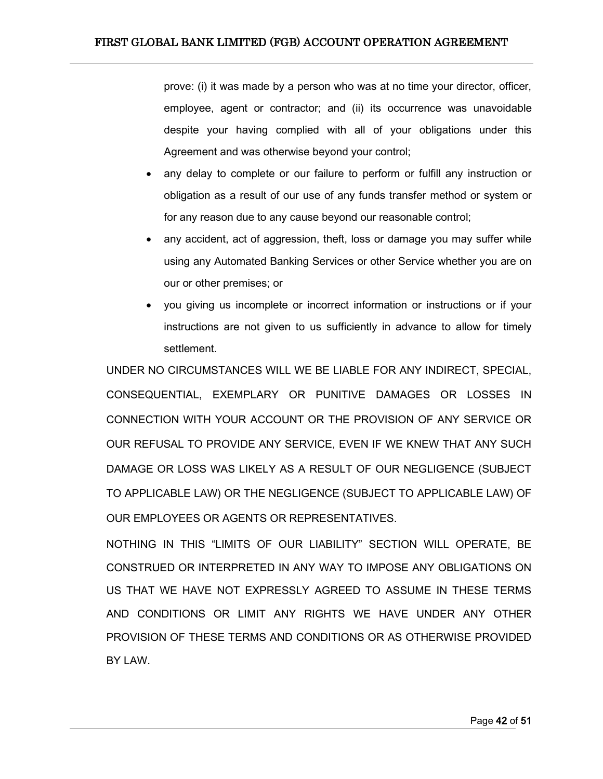prove: (i) it was made by a person who was at no time your director, officer, employee, agent or contractor; and (ii) its occurrence was unavoidable despite your having complied with all of your obligations under this Agreement and was otherwise beyond your control;

- any delay to complete or our failure to perform or fulfill any instruction or obligation as a result of our use of any funds transfer method or system or for any reason due to any cause beyond our reasonable control;
- any accident, act of aggression, theft, loss or damage you may suffer while using any Automated Banking Services or other Service whether you are on our or other premises; or
- you giving us incomplete or incorrect information or instructions or if your instructions are not given to us sufficiently in advance to allow for timely settlement.

UNDER NO CIRCUMSTANCES WILL WE BE LIABLE FOR ANY INDIRECT, SPECIAL, CONSEQUENTIAL, EXEMPLARY OR PUNITIVE DAMAGES OR LOSSES IN CONNECTION WITH YOUR ACCOUNT OR THE PROVISION OF ANY SERVICE OR OUR REFUSAL TO PROVIDE ANY SERVICE, EVEN IF WE KNEW THAT ANY SUCH DAMAGE OR LOSS WAS LIKELY AS A RESULT OF OUR NEGLIGENCE (SUBJECT TO APPLICABLE LAW) OR THE NEGLIGENCE (SUBJECT TO APPLICABLE LAW) OF OUR EMPLOYEES OR AGENTS OR REPRESENTATIVES.

NOTHING IN THIS "LIMITS OF OUR LIABILITY" SECTION WILL OPERATE, BE CONSTRUED OR INTERPRETED IN ANY WAY TO IMPOSE ANY OBLIGATIONS ON US THAT WE HAVE NOT EXPRESSLY AGREED TO ASSUME IN THESE TERMS AND CONDITIONS OR LIMIT ANY RIGHTS WE HAVE UNDER ANY OTHER PROVISION OF THESE TERMS AND CONDITIONS OR AS OTHERWISE PROVIDED BY LAW.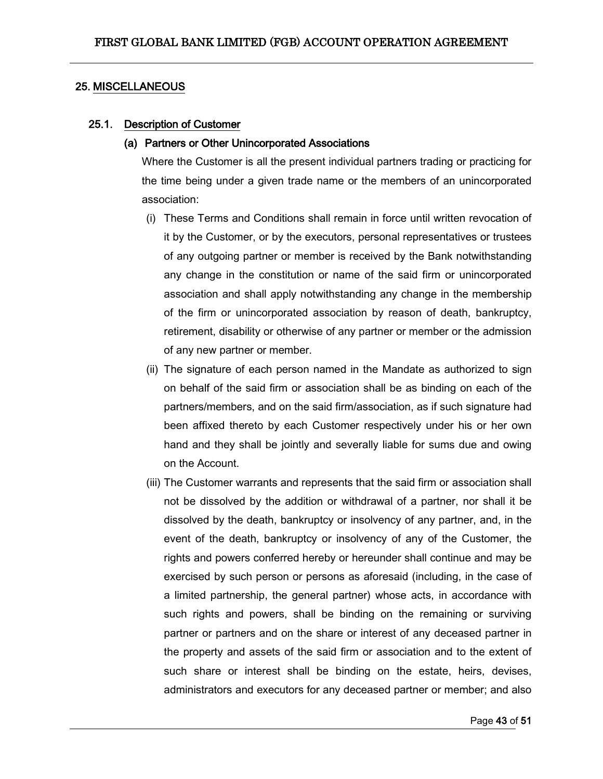#### <span id="page-42-0"></span>25. MISCELLANEOUS

#### <span id="page-42-1"></span>25.1. Description of Customer

#### (a) Partners or Other Unincorporated Associations

Where the Customer is all the present individual partners trading or practicing for the time being under a given trade name or the members of an unincorporated association:

- (i) These Terms and Conditions shall remain in force until written revocation of it by the Customer, or by the executors, personal representatives or trustees of any outgoing partner or member is received by the Bank notwithstanding any change in the constitution or name of the said firm or unincorporated association and shall apply notwithstanding any change in the membership of the firm or unincorporated association by reason of death, bankruptcy, retirement, disability or otherwise of any partner or member or the admission of any new partner or member.
- (ii) The signature of each person named in the Mandate as authorized to sign on behalf of the said firm or association shall be as binding on each of the partners/members, and on the said firm/association, as if such signature had been affixed thereto by each Customer respectively under his or her own hand and they shall be jointly and severally liable for sums due and owing on the Account.
- (iii) The Customer warrants and represents that the said firm or association shall not be dissolved by the addition or withdrawal of a partner, nor shall it be dissolved by the death, bankruptcy or insolvency of any partner, and, in the event of the death, bankruptcy or insolvency of any of the Customer, the rights and powers conferred hereby or hereunder shall continue and may be exercised by such person or persons as aforesaid (including, in the case of a limited partnership, the general partner) whose acts, in accordance with such rights and powers, shall be binding on the remaining or surviving partner or partners and on the share or interest of any deceased partner in the property and assets of the said firm or association and to the extent of such share or interest shall be binding on the estate, heirs, devises, administrators and executors for any deceased partner or member; and also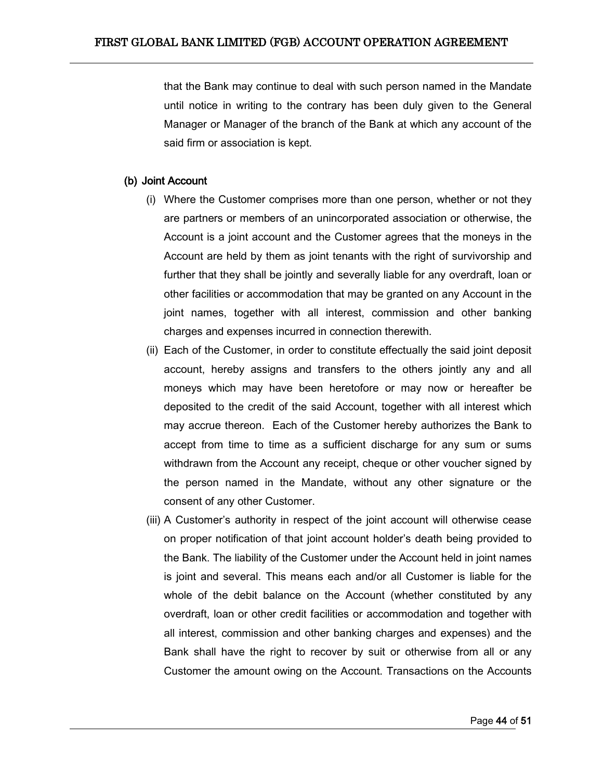that the Bank may continue to deal with such person named in the Mandate until notice in writing to the contrary has been duly given to the General Manager or Manager of the branch of the Bank at which any account of the said firm or association is kept.

#### (b) Joint Account

- (i) Where the Customer comprises more than one person, whether or not they are partners or members of an unincorporated association or otherwise, the Account is a joint account and the Customer agrees that the moneys in the Account are held by them as joint tenants with the right of survivorship and further that they shall be jointly and severally liable for any overdraft, loan or other facilities or accommodation that may be granted on any Account in the joint names, together with all interest, commission and other banking charges and expenses incurred in connection therewith.
- (ii) Each of the Customer, in order to constitute effectually the said joint deposit account, hereby assigns and transfers to the others jointly any and all moneys which may have been heretofore or may now or hereafter be deposited to the credit of the said Account, together with all interest which may accrue thereon. Each of the Customer hereby authorizes the Bank to accept from time to time as a sufficient discharge for any sum or sums withdrawn from the Account any receipt, cheque or other voucher signed by the person named in the Mandate, without any other signature or the consent of any other Customer.
- (iii) A Customer's authority in respect of the joint account will otherwise cease on proper notification of that joint account holder's death being provided to the Bank. The liability of the Customer under the Account held in joint names is joint and several. This means each and/or all Customer is liable for the whole of the debit balance on the Account (whether constituted by any overdraft, loan or other credit facilities or accommodation and together with all interest, commission and other banking charges and expenses) and the Bank shall have the right to recover by suit or otherwise from all or any Customer the amount owing on the Account. Transactions on the Accounts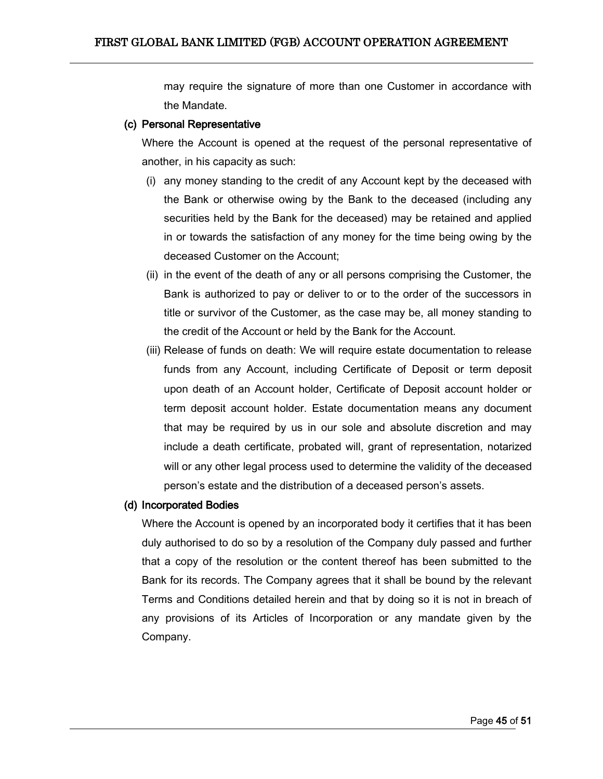may require the signature of more than one Customer in accordance with the Mandate.

#### (c) Personal Representative

Where the Account is opened at the request of the personal representative of another, in his capacity as such:

- (i) any money standing to the credit of any Account kept by the deceased with the Bank or otherwise owing by the Bank to the deceased (including any securities held by the Bank for the deceased) may be retained and applied in or towards the satisfaction of any money for the time being owing by the deceased Customer on the Account;
- (ii) in the event of the death of any or all persons comprising the Customer, the Bank is authorized to pay or deliver to or to the order of the successors in title or survivor of the Customer, as the case may be, all money standing to the credit of the Account or held by the Bank for the Account.
- (iii) Release of funds on death: We will require estate documentation to release funds from any Account, including Certificate of Deposit or term deposit upon death of an Account holder, Certificate of Deposit account holder or term deposit account holder. Estate documentation means any document that may be required by us in our sole and absolute discretion and may include a death certificate, probated will, grant of representation, notarized will or any other legal process used to determine the validity of the deceased person's estate and the distribution of a deceased person's assets.

#### (d) Incorporated Bodies

Where the Account is opened by an incorporated body it certifies that it has been duly authorised to do so by a resolution of the Company duly passed and further that a copy of the resolution or the content thereof has been submitted to the Bank for its records. The Company agrees that it shall be bound by the relevant Terms and Conditions detailed herein and that by doing so it is not in breach of any provisions of its Articles of Incorporation or any mandate given by the Company.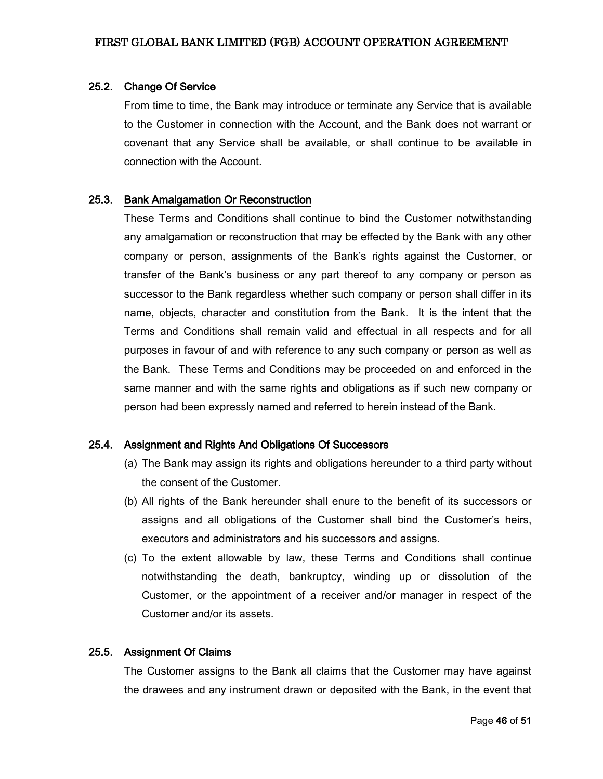#### <span id="page-45-0"></span>25.2. Change Of Service

From time to time, the Bank may introduce or terminate any Service that is available to the Customer in connection with the Account, and the Bank does not warrant or covenant that any Service shall be available, or shall continue to be available in connection with the Account.

#### <span id="page-45-1"></span>25.3. Bank Amalgamation Or Reconstruction

These Terms and Conditions shall continue to bind the Customer notwithstanding any amalgamation or reconstruction that may be effected by the Bank with any other company or person, assignments of the Bank's rights against the Customer, or transfer of the Bank's business or any part thereof to any company or person as successor to the Bank regardless whether such company or person shall differ in its name, objects, character and constitution from the Bank. It is the intent that the Terms and Conditions shall remain valid and effectual in all respects and for all purposes in favour of and with reference to any such company or person as well as the Bank. These Terms and Conditions may be proceeded on and enforced in the same manner and with the same rights and obligations as if such new company or person had been expressly named and referred to herein instead of the Bank.

#### <span id="page-45-2"></span>25.4. Assignment and Rights And Obligations Of Successors

- (a) The Bank may assign its rights and obligations hereunder to a third party without the consent of the Customer.
- (b) All rights of the Bank hereunder shall enure to the benefit of its successors or assigns and all obligations of the Customer shall bind the Customer's heirs, executors and administrators and his successors and assigns.
- (c) To the extent allowable by law, these Terms and Conditions shall continue notwithstanding the death, bankruptcy, winding up or dissolution of the Customer, or the appointment of a receiver and/or manager in respect of the Customer and/or its assets.

### <span id="page-45-3"></span>25.5. Assignment Of Claims

The Customer assigns to the Bank all claims that the Customer may have against the drawees and any instrument drawn or deposited with the Bank, in the event that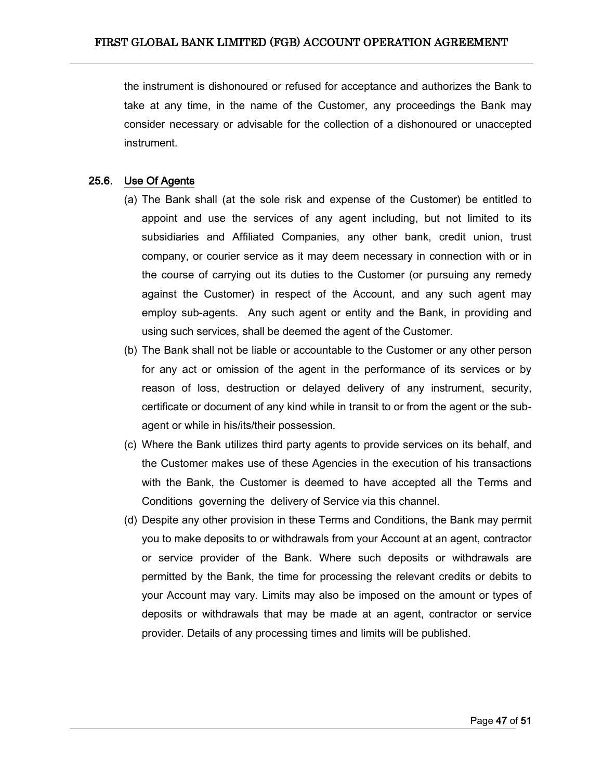the instrument is dishonoured or refused for acceptance and authorizes the Bank to take at any time, in the name of the Customer, any proceedings the Bank may consider necessary or advisable for the collection of a dishonoured or unaccepted instrument.

### <span id="page-46-0"></span>25.6. Use Of Agents

- (a) The Bank shall (at the sole risk and expense of the Customer) be entitled to appoint and use the services of any agent including, but not limited to its subsidiaries and Affiliated Companies, any other bank, credit union, trust company, or courier service as it may deem necessary in connection with or in the course of carrying out its duties to the Customer (or pursuing any remedy against the Customer) in respect of the Account, and any such agent may employ sub-agents. Any such agent or entity and the Bank, in providing and using such services, shall be deemed the agent of the Customer.
- (b) The Bank shall not be liable or accountable to the Customer or any other person for any act or omission of the agent in the performance of its services or by reason of loss, destruction or delayed delivery of any instrument, security, certificate or document of any kind while in transit to or from the agent or the subagent or while in his/its/their possession.
- (c) Where the Bank utilizes third party agents to provide services on its behalf, and the Customer makes use of these Agencies in the execution of his transactions with the Bank, the Customer is deemed to have accepted all the Terms and Conditions governing the delivery of Service via this channel.
- (d) Despite any other provision in these Terms and Conditions, the Bank may permit you to make deposits to or withdrawals from your Account at an agent, contractor or service provider of the Bank. Where such deposits or withdrawals are permitted by the Bank, the time for processing the relevant credits or debits to your Account may vary. Limits may also be imposed on the amount or types of deposits or withdrawals that may be made at an agent, contractor or service provider. Details of any processing times and limits will be published.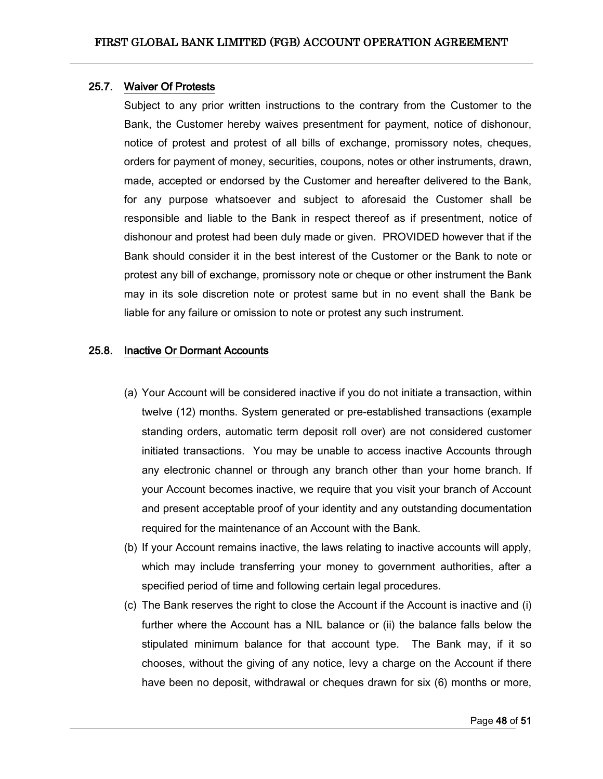#### <span id="page-47-0"></span>25.7. Waiver Of Protests

Subject to any prior written instructions to the contrary from the Customer to the Bank, the Customer hereby waives presentment for payment, notice of dishonour, notice of protest and protest of all bills of exchange, promissory notes, cheques, orders for payment of money, securities, coupons, notes or other instruments, drawn, made, accepted or endorsed by the Customer and hereafter delivered to the Bank, for any purpose whatsoever and subject to aforesaid the Customer shall be responsible and liable to the Bank in respect thereof as if presentment, notice of dishonour and protest had been duly made or given. PROVIDED however that if the Bank should consider it in the best interest of the Customer or the Bank to note or protest any bill of exchange, promissory note or cheque or other instrument the Bank may in its sole discretion note or protest same but in no event shall the Bank be liable for any failure or omission to note or protest any such instrument.

#### <span id="page-47-1"></span>25.8. Inactive Or Dormant Accounts

- (a) Your Account will be considered inactive if you do not initiate a transaction, within twelve (12) months. System generated or pre-established transactions (example standing orders, automatic term deposit roll over) are not considered customer initiated transactions. You may be unable to access inactive Accounts through any electronic channel or through any branch other than your home branch. If your Account becomes inactive, we require that you visit your branch of Account and present acceptable proof of your identity and any outstanding documentation required for the maintenance of an Account with the Bank.
- (b) If your Account remains inactive, the laws relating to inactive accounts will apply, which may include transferring your money to government authorities, after a specified period of time and following certain legal procedures.
- (c) The Bank reserves the right to close the Account if the Account is inactive and (i) further where the Account has a NIL balance or (ii) the balance falls below the stipulated minimum balance for that account type. The Bank may, if it so chooses, without the giving of any notice, levy a charge on the Account if there have been no deposit, withdrawal or cheques drawn for six (6) months or more,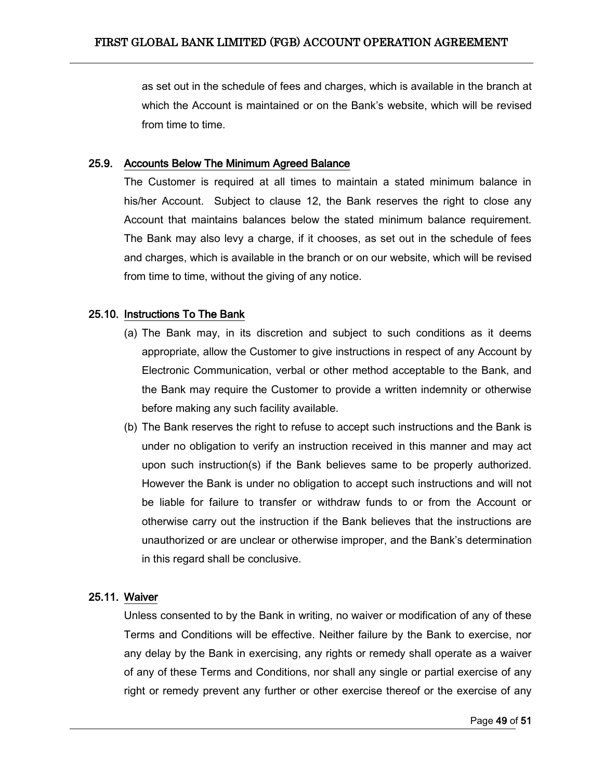as set out in the schedule of fees and charges, which is available in the branch at which the Account is maintained or on the Bank's website, which will be revised from time to time.

#### <span id="page-48-0"></span>25.9. Accounts Below The Minimum Agreed Balance

The Customer is required at all times to maintain a stated minimum balance in his/her Account. Subject to clause 12, the Bank reserves the right to close any Account that maintains balances below the stated minimum balance requirement. The Bank may also levy a charge, if it chooses, as set out in the schedule of fees and charges, which is available in the branch or on our website, which will be revised from time to time, without the giving of any notice.

### <span id="page-48-1"></span>25.10. Instructions To The Bank

- (a) The Bank may, in its discretion and subject to such conditions as it deems appropriate, allow the Customer to give instructions in respect of any Account by Electronic Communication, verbal or other method acceptable to the Bank, and the Bank may require the Customer to provide a written indemnity or otherwise before making any such facility available.
- (b) The Bank reserves the right to refuse to accept such instructions and the Bank is under no obligation to verify an instruction received in this manner and may act upon such instruction(s) if the Bank believes same to be properly authorized. However the Bank is under no obligation to accept such instructions and will not be liable for failure to transfer or withdraw funds to or from the Account or otherwise carry out the instruction if the Bank believes that the instructions are unauthorized or are unclear or otherwise improper, and the Bank's determination in this regard shall be conclusive.

### <span id="page-48-2"></span>25.11. Waiver

Unless consented to by the Bank in writing, no waiver or modification of any of these Terms and Conditions will be effective. Neither failure by the Bank to exercise, nor any delay by the Bank in exercising, any rights or remedy shall operate as a waiver of any of these Terms and Conditions, nor shall any single or partial exercise of any right or remedy prevent any further or other exercise thereof or the exercise of any